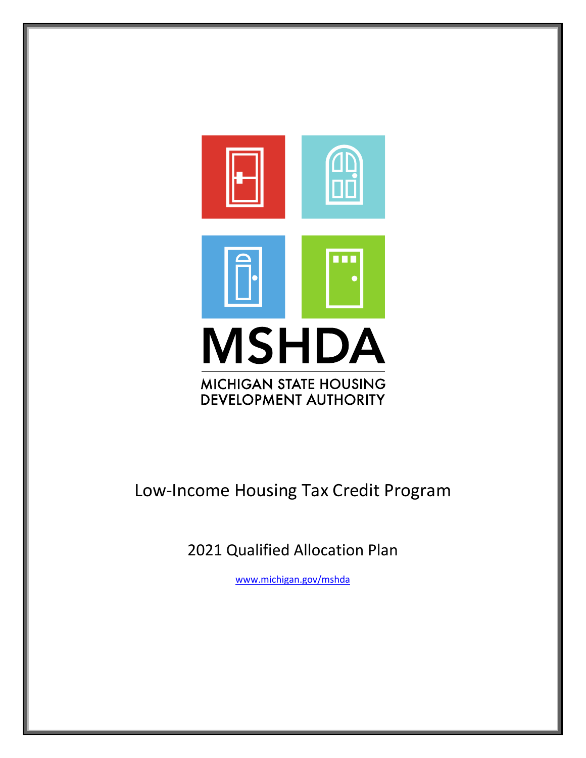

# Low-Income Housing Tax Credit Program

2021 Qualified Allocation Plan

[www.michigan.gov/mshda](http://www.michigan.gov/mshda)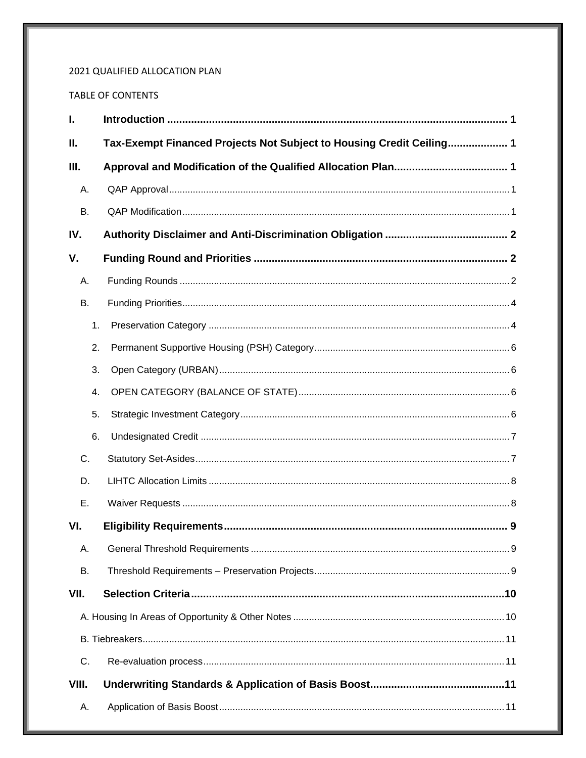## 2021 QUALIFIED ALLOCATION PLAN

## TABLE OF CONTENTS

| $\mathbf{I}$ . |    |                                                                      |
|----------------|----|----------------------------------------------------------------------|
| Ш.             |    | Tax-Exempt Financed Projects Not Subject to Housing Credit Ceiling 1 |
| III.           |    |                                                                      |
| Α.             |    |                                                                      |
| В.             |    |                                                                      |
| IV.            |    |                                                                      |
| V.             |    |                                                                      |
| А.             |    |                                                                      |
| В.             |    |                                                                      |
|                | 1. |                                                                      |
|                | 2. |                                                                      |
|                | 3. |                                                                      |
|                | 4. |                                                                      |
|                | 5. |                                                                      |
|                | 6. |                                                                      |
| C.             |    |                                                                      |
| D.             |    |                                                                      |
| Ε.             |    |                                                                      |
| VI.            |    |                                                                      |
| А.             |    |                                                                      |
| В.             |    |                                                                      |
| VII.           |    |                                                                      |
|                |    |                                                                      |
|                |    |                                                                      |
| C.             |    |                                                                      |
| VIII.          |    |                                                                      |
| А.             |    |                                                                      |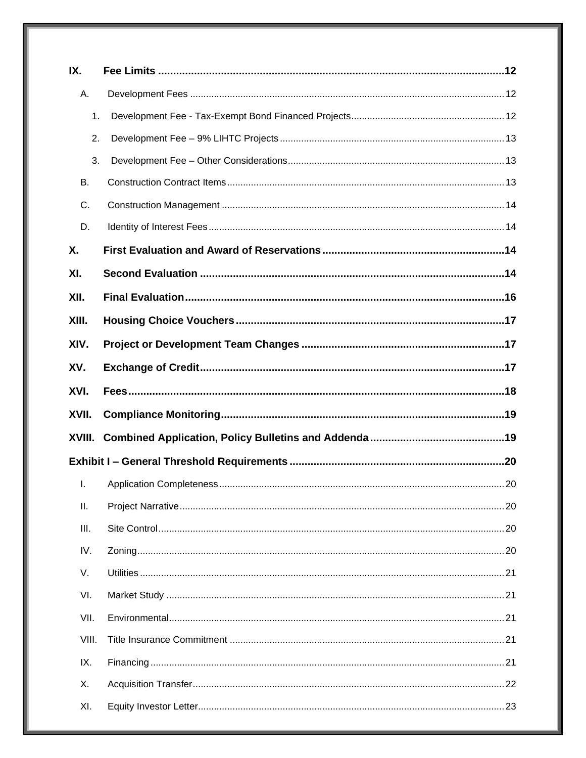| IX.    |  |
|--------|--|
| А.     |  |
| 1.     |  |
| 2.     |  |
| 3.     |  |
| В.     |  |
| C.     |  |
| D.     |  |
| Χ.     |  |
| XI.    |  |
| XII.   |  |
| XIII.  |  |
| XIV.   |  |
| XV.    |  |
|        |  |
| XVI.   |  |
| XVII.  |  |
| XVIII. |  |
|        |  |
| I.     |  |
| П.     |  |
| III.   |  |
| IV.    |  |
| V.     |  |
| VI.    |  |
| VII.   |  |
| VIII.  |  |
| IX.    |  |
| Х.     |  |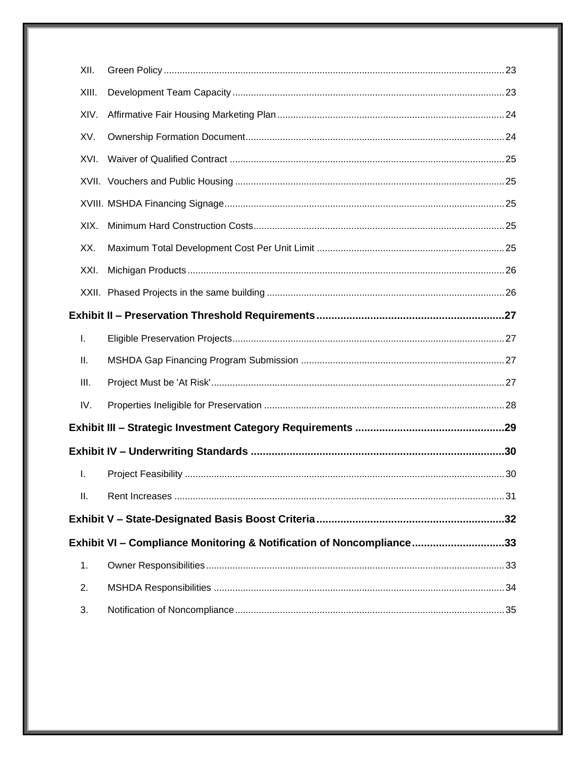|  | XII.  |                                                                      |  |  |  |
|--|-------|----------------------------------------------------------------------|--|--|--|
|  | XIII. |                                                                      |  |  |  |
|  | XIV.  |                                                                      |  |  |  |
|  | XV.   |                                                                      |  |  |  |
|  | XVI.  |                                                                      |  |  |  |
|  |       |                                                                      |  |  |  |
|  |       |                                                                      |  |  |  |
|  | XIX.  |                                                                      |  |  |  |
|  | XX.   |                                                                      |  |  |  |
|  | XXI.  |                                                                      |  |  |  |
|  |       |                                                                      |  |  |  |
|  |       |                                                                      |  |  |  |
|  | I.    |                                                                      |  |  |  |
|  | Ш.    |                                                                      |  |  |  |
|  | III.  |                                                                      |  |  |  |
|  | IV.   |                                                                      |  |  |  |
|  |       |                                                                      |  |  |  |
|  |       |                                                                      |  |  |  |
|  | I.    |                                                                      |  |  |  |
|  | II.   |                                                                      |  |  |  |
|  |       |                                                                      |  |  |  |
|  |       | Exhibit VI - Compliance Monitoring & Notification of Noncompliance33 |  |  |  |
|  | 1.    |                                                                      |  |  |  |
|  | 2.    |                                                                      |  |  |  |
|  | 3.    |                                                                      |  |  |  |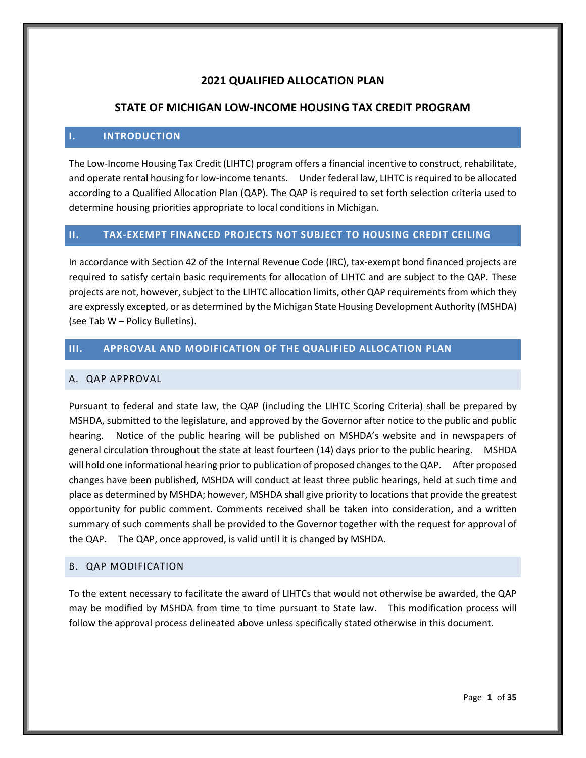## **2021 QUALIFIED ALLOCATION PLAN**

## **STATE OF MICHIGAN LOW-INCOME HOUSING TAX CREDIT PROGRAM**

#### <span id="page-4-0"></span>**I. INTRODUCTION**

The Low-Income Housing Tax Credit (LIHTC) program offers a financial incentive to construct, rehabilitate, and operate rental housing for low-income tenants. Under federal law, LIHTC is required to be allocated according to a Qualified Allocation Plan (QAP). The QAP is required to set forth selection criteria used to determine housing priorities appropriate to local conditions in Michigan.

#### <span id="page-4-1"></span>**II. TAX-EXEMPT FINANCED PROJECTS NOT SUBJECT TO HOUSING CREDIT CEILING**

In accordance with Section 42 of the Internal Revenue Code (IRC), tax-exempt bond financed projects are required to satisfy certain basic requirements for allocation of LIHTC and are subject to the QAP. These projects are not, however, subject to the LIHTC allocation limits, other QAP requirements from which they are expressly excepted, or as determined by the Michigan State Housing Development Authority (MSHDA) (see Tab W – Policy Bulletins).

## <span id="page-4-2"></span>**III. APPROVAL AND MODIFICATION OF THE QUALIFIED ALLOCATION PLAN**

#### <span id="page-4-3"></span>A. QAP APPROVAL

Pursuant to federal and state law, the QAP (including the LIHTC Scoring Criteria) shall be prepared by MSHDA, submitted to the legislature, and approved by the Governor after notice to the public and public hearing. Notice of the public hearing will be published on MSHDA's website and in newspapers of general circulation throughout the state at least fourteen (14) days prior to the public hearing. MSHDA will hold one informational hearing prior to publication of proposed changes to the QAP. After proposed changes have been published, MSHDA will conduct at least three public hearings, held at such time and place as determined by MSHDA; however, MSHDA shall give priority to locations that provide the greatest opportunity for public comment. Comments received shall be taken into consideration, and a written summary of such comments shall be provided to the Governor together with the request for approval of the QAP. The QAP, once approved, is valid until it is changed by MSHDA.

#### <span id="page-4-4"></span>B. QAP MODIFICATION

To the extent necessary to facilitate the award of LIHTCs that would not otherwise be awarded, the QAP may be modified by MSHDA from time to time pursuant to State law. This modification process will follow the approval process delineated above unless specifically stated otherwise in this document.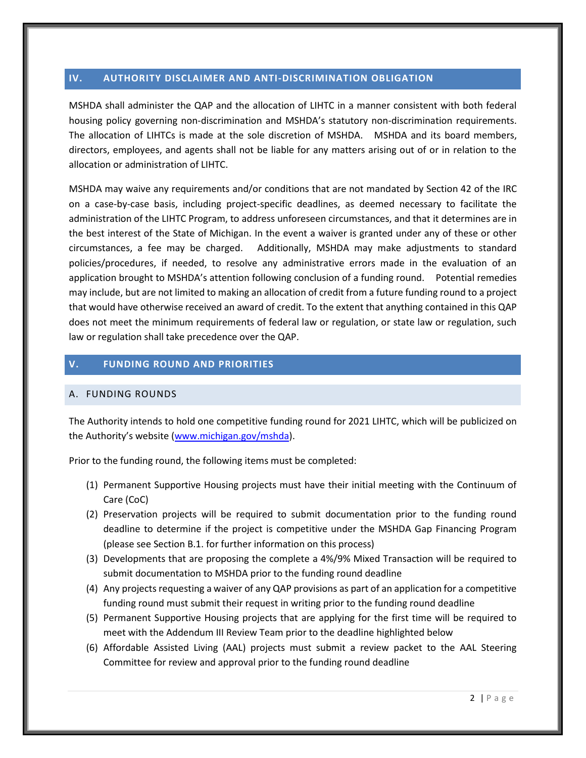## <span id="page-5-0"></span>**IV. AUTHORITY DISCLAIMER AND ANTI-DISCRIMINATION OBLIGATION**

MSHDA shall administer the QAP and the allocation of LIHTC in a manner consistent with both federal housing policy governing non-discrimination and MSHDA's statutory non-discrimination requirements. The allocation of LIHTCs is made at the sole discretion of MSHDA. MSHDA and its board members, directors, employees, and agents shall not be liable for any matters arising out of or in relation to the allocation or administration of LIHTC.

MSHDA may waive any requirements and/or conditions that are not mandated by Section 42 of the IRC on a case-by-case basis, including project-specific deadlines, as deemed necessary to facilitate the administration of the LIHTC Program, to address unforeseen circumstances, and that it determines are in the best interest of the State of Michigan. In the event a waiver is granted under any of these or other circumstances, a fee may be charged. Additionally, MSHDA may make adjustments to standard policies/procedures, if needed, to resolve any administrative errors made in the evaluation of an application brought to MSHDA's attention following conclusion of a funding round. Potential remedies may include, but are not limited to making an allocation of credit from a future funding round to a project that would have otherwise received an award of credit. To the extent that anything contained in this QAP does not meet the minimum requirements of federal law or regulation, or state law or regulation, such law or regulation shall take precedence over the QAP.

#### <span id="page-5-1"></span>**V. FUNDING ROUND AND PRIORITIES**

#### <span id="page-5-2"></span>A. FUNDING ROUNDS

The Authority intends to hold one competitive funding round for 2021 LIHTC, which will be publicized on the Authority's website (www.michigan.gov/mshda).

Prior to the funding round, the following items must be completed:

- (1) Permanent Supportive Housing projects must have their initial meeting with the Continuum of Care (CoC)
- (2) Preservation projects will be required to submit documentation prior to the funding round deadline to determine if the project is competitive under the MSHDA Gap Financing Program (please see Section B.1. for further information on this process)
- (3) Developments that are proposing the complete a 4%/9% Mixed Transaction will be required to submit documentation to MSHDA prior to the funding round deadline
- (4) Any projects requesting a waiver of any QAP provisions as part of an application for a competitive funding round must submit their request in writing prior to the funding round deadline
- (5) Permanent Supportive Housing projects that are applying for the first time will be required to meet with the Addendum III Review Team prior to the deadline highlighted below
- (6) Affordable Assisted Living (AAL) projects must submit a review packet to the AAL Steering Committee for review and approval prior to the funding round deadline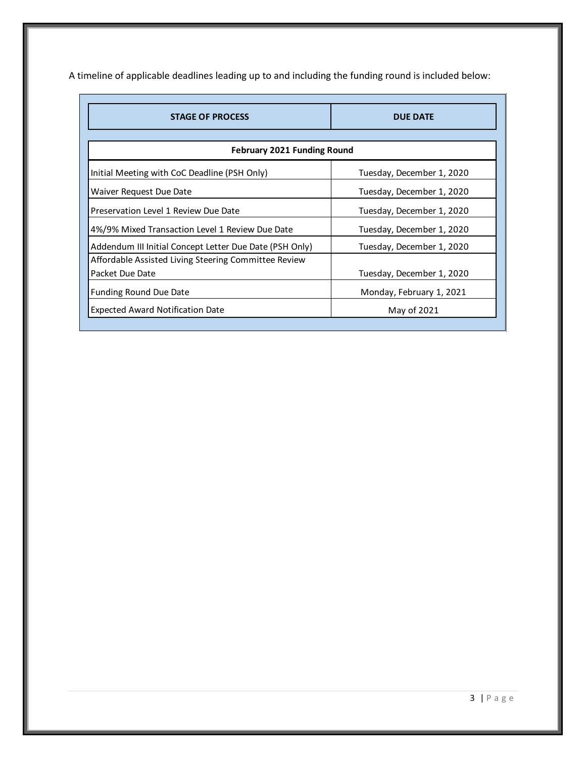A timeline of applicable deadlines leading up to and including the funding round is included below:

| <b>STAGE OF PROCESS</b>                                 | <b>DUE DATE</b>           |
|---------------------------------------------------------|---------------------------|
|                                                         |                           |
| <b>February 2021 Funding Round</b>                      |                           |
| Initial Meeting with CoC Deadline (PSH Only)            | Tuesday, December 1, 2020 |
| Waiver Request Due Date                                 | Tuesday, December 1, 2020 |
| Preservation Level 1 Review Due Date                    | Tuesday, December 1, 2020 |
| 4%/9% Mixed Transaction Level 1 Review Due Date         | Tuesday, December 1, 2020 |
| Addendum III Initial Concept Letter Due Date (PSH Only) | Tuesday, December 1, 2020 |
| Affordable Assisted Living Steering Committee Review    |                           |
| Packet Due Date                                         | Tuesday, December 1, 2020 |
| <b>Funding Round Due Date</b>                           | Monday, February 1, 2021  |
| <b>Expected Award Notification Date</b>                 | May of 2021               |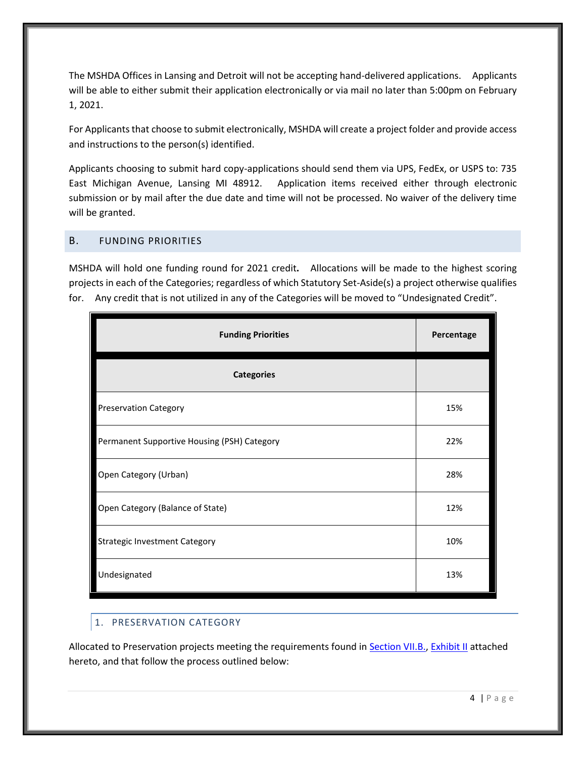The MSHDA Offices in Lansing and Detroit will not be accepting hand-delivered applications. Applicants will be able to either submit their application electronically or via mail no later than 5:00pm on February 1, 2021.

For Applicants that choose to submit electronically, MSHDA will create a project folder and provide access and instructions to the person(s) identified.

Applicants choosing to submit hard copy-applications should send them via UPS, FedEx, or USPS to: 735 East Michigan Avenue, Lansing MI 48912. Application items received either through electronic submission or by mail after the due date and time will not be processed. No waiver of the delivery time will be granted.

## <span id="page-7-0"></span>B. FUNDING PRIORITIES

MSHDA will hold one funding round for 2021 credit**.** Allocations will be made to the highest scoring projects in each of the Categories; regardless of which Statutory Set-Aside(s) a project otherwise qualifies for. Any credit that is not utilized in any of the Categories will be moved to "Undesignated Credit".

| <b>Funding Priorities</b>                   | Percentage |
|---------------------------------------------|------------|
| <b>Categories</b>                           |            |
| <b>Preservation Category</b>                | 15%        |
| Permanent Supportive Housing (PSH) Category | 22%        |
| Open Category (Urban)                       | 28%        |
| Open Category (Balance of State)            | 12%        |
| <b>Strategic Investment Category</b>        | 10%        |
| Undesignated                                | 13%        |

## <span id="page-7-1"></span>1. PRESERVATION CATEGORY

Allocated to Preservation projects meeting the requirements found in **Section VII.B.**, [Exhibit II](#page-29-2) attached hereto, and that follow the process outlined below: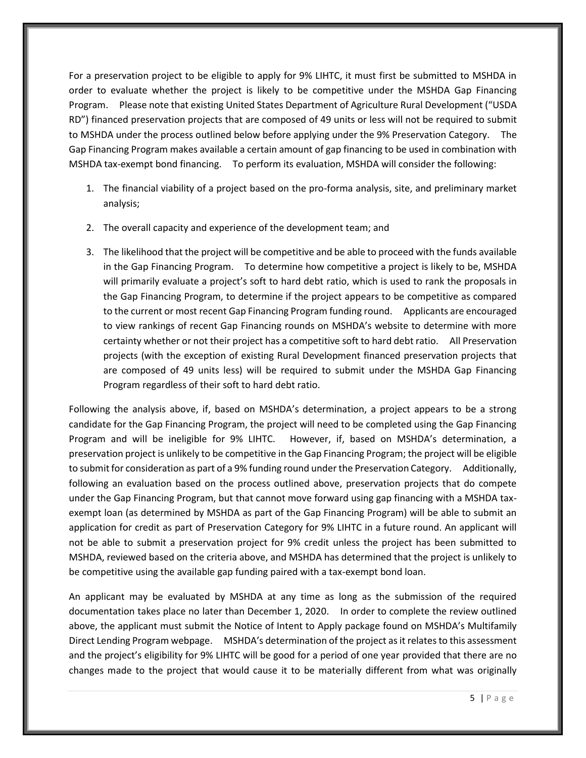For a preservation project to be eligible to apply for 9% LIHTC, it must first be submitted to MSHDA in order to evaluate whether the project is likely to be competitive under the MSHDA Gap Financing Program. Please note that existing United States Department of Agriculture Rural Development ("USDA RD") financed preservation projects that are composed of 49 units or less will not be required to submit to MSHDA under the process outlined below before applying under the 9% Preservation Category. The Gap Financing Program makes available a certain amount of gap financing to be used in combination with MSHDA tax-exempt bond financing. To perform its evaluation, MSHDA will consider the following:

- 1. The financial viability of a project based on the pro-forma analysis, site, and preliminary market analysis;
- 2. The overall capacity and experience of the development team; and
- 3. The likelihood that the project will be competitive and be able to proceed with the funds available in the Gap Financing Program. To determine how competitive a project is likely to be, MSHDA will primarily evaluate a project's soft to hard debt ratio, which is used to rank the proposals in the Gap Financing Program, to determine if the project appears to be competitive as compared to the current or most recent Gap Financing Program funding round. Applicants are encouraged to view rankings of recent Gap Financing rounds on MSHDA's website to determine with more certainty whether or not their project has a competitive soft to hard debt ratio. All Preservation projects (with the exception of existing Rural Development financed preservation projects that are composed of 49 units less) will be required to submit under the MSHDA Gap Financing Program regardless of their soft to hard debt ratio.

Following the analysis above, if, based on MSHDA's determination, a project appears to be a strong candidate for the Gap Financing Program, the project will need to be completed using the Gap Financing Program and will be ineligible for 9% LIHTC. However, if, based on MSHDA's determination, a preservation project is unlikely to be competitive in the Gap Financing Program; the project will be eligible to submit for consideration as part of a 9% funding round under the Preservation Category. Additionally, following an evaluation based on the process outlined above, preservation projects that do compete under the Gap Financing Program, but that cannot move forward using gap financing with a MSHDA taxexempt loan (as determined by MSHDA as part of the Gap Financing Program) will be able to submit an application for credit as part of Preservation Category for 9% LIHTC in a future round. An applicant will not be able to submit a preservation project for 9% credit unless the project has been submitted to MSHDA, reviewed based on the criteria above, and MSHDA has determined that the project is unlikely to be competitive using the available gap funding paired with a tax-exempt bond loan.

An applicant may be evaluated by MSHDA at any time as long as the submission of the required documentation takes place no later than December 1, 2020. In order to complete the review outlined above, the applicant must submit the Notice of Intent to Apply package found on MSHDA's Multifamily Direct Lending Program webpage. MSHDA's determination of the project as it relates to this assessment and the project's eligibility for 9% LIHTC will be good for a period of one year provided that there are no changes made to the project that would cause it to be materially different from what was originally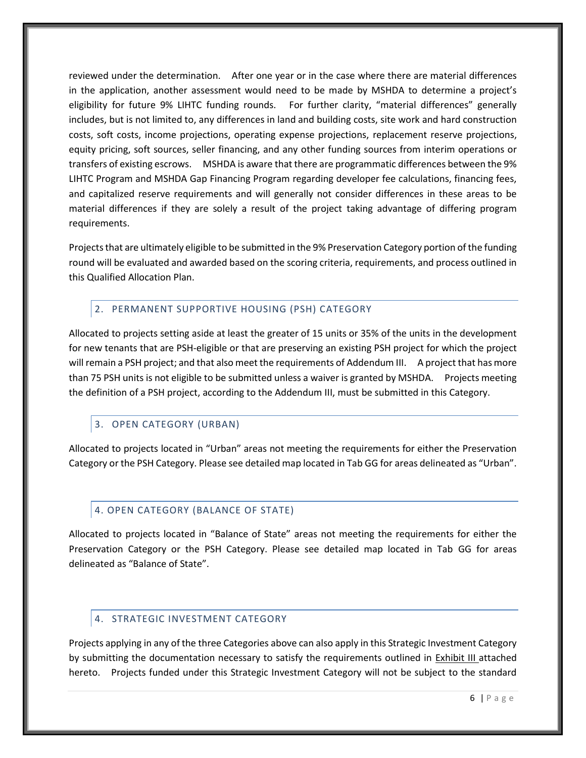reviewed under the determination. After one year or in the case where there are material differences in the application, another assessment would need to be made by MSHDA to determine a project's eligibility for future 9% LIHTC funding rounds. For further clarity, "material differences" generally includes, but is not limited to, any differences in land and building costs, site work and hard construction costs, soft costs, income projections, operating expense projections, replacement reserve projections, equity pricing, soft sources, seller financing, and any other funding sources from interim operations or transfers of existing escrows. MSHDA is aware that there are programmatic differences between the 9% LIHTC Program and MSHDA Gap Financing Program regarding developer fee calculations, financing fees, and capitalized reserve requirements and will generally not consider differences in these areas to be material differences if they are solely a result of the project taking advantage of differing program requirements.

Projects that are ultimately eligible to be submitted in the 9% Preservation Category portion of the funding round will be evaluated and awarded based on the scoring criteria, requirements, and process outlined in this Qualified Allocation Plan.

## <span id="page-9-0"></span>2. PERMANENT SUPPORTIVE HOUSING (PSH) CATEGORY

Allocated to projects setting aside at least the greater of 15 units or 35% of the units in the development for new tenants that are PSH-eligible or that are preserving an existing PSH project for which the project will remain a PSH project; and that also meet the requirements of Addendum III. A project that has more than 75 PSH units is not eligible to be submitted unless a waiver is granted by MSHDA. Projects meeting the definition of a PSH project, according to the Addendum III, must be submitted in this Category.

## <span id="page-9-1"></span>3. OPEN CATEGORY (URBAN)

Allocated to projects located in "Urban" areas not meeting the requirements for either the Preservation Category or the PSH Category. Please see detailed map located in Tab GG for areas delineated as "Urban".

## <span id="page-9-2"></span>4. OPEN CATEGORY (BALANCE OF STATE)

Allocated to projects located in "Balance of State" areas not meeting the requirements for either the Preservation Category or the PSH Category. Please see detailed map located in Tab GG for areas delineated as "Balance of State".

#### <span id="page-9-3"></span>4. STRATEGIC INVESTMENT CATEGORY

Projects applying in any of the three Categories above can also apply in this Strategic Investment Category by submitting the documentation necessary to satisfy the requirements outlined in [Exhibit III](#page-32-0) attached hereto. Projects funded under this Strategic Investment Category will not be subject to the standard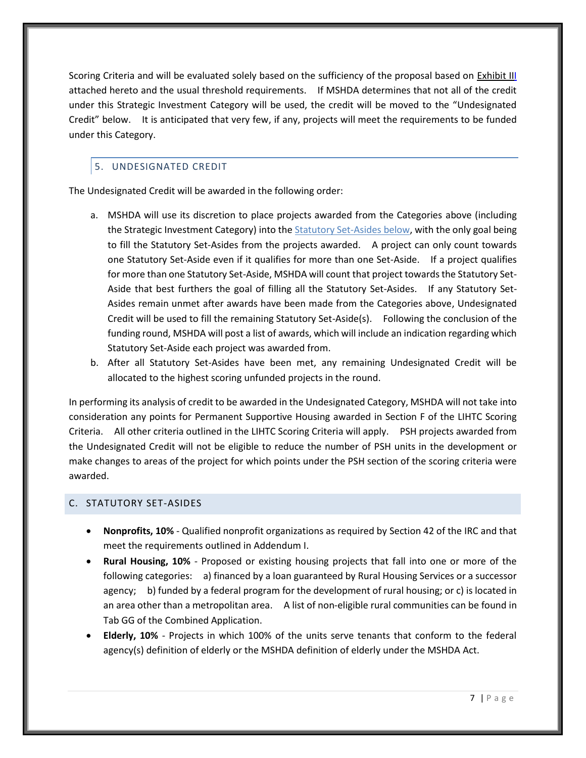Scoring Criteria and will be evaluated solely based on the sufficiency of the proposal based on [Exhibit III](#page-32-0) attached hereto and the usual threshold requirements. If MSHDA determines that not all of the credit under this Strategic Investment Category will be used, the credit will be moved to the "Undesignated Credit" below. It is anticipated that very few, if any, projects will meet the requirements to be funded under this Category.

# <span id="page-10-0"></span>5. UNDESIGNATED CREDIT

The Undesignated Credit will be awarded in the following order:

- a. MSHDA will use its discretion to place projects awarded from the Categories above (including the Strategic Investment Category) into the **Statutory Set-Asides below**, with the only goal being to fill the Statutory Set-Asides from the projects awarded. A project can only count towards one Statutory Set-Aside even if it qualifies for more than one Set-Aside. If a project qualifies for more than one Statutory Set-Aside, MSHDA will count that project towards the Statutory Set-Aside that best furthers the goal of filling all the Statutory Set-Asides. If any Statutory Set-Asides remain unmet after awards have been made from the Categories above, Undesignated Credit will be used to fill the remaining Statutory Set-Aside(s). Following the conclusion of the funding round, MSHDA will post a list of awards, which will include an indication regarding which Statutory Set-Aside each project was awarded from.
- b. After all Statutory Set-Asides have been met, any remaining Undesignated Credit will be allocated to the highest scoring unfunded projects in the round.

In performing its analysis of credit to be awarded in the Undesignated Category, MSHDA will not take into consideration any points for Permanent Supportive Housing awarded in Section F of the LIHTC Scoring Criteria. All other criteria outlined in the LIHTC Scoring Criteria will apply. PSH projects awarded from the Undesignated Credit will not be eligible to reduce the number of PSH units in the development or make changes to areas of the project for which points under the PSH section of the scoring criteria were awarded.

#### <span id="page-10-1"></span>C. STATUTORY SET-ASIDES

- **Nonprofits, 10%** Qualified nonprofit organizations as required by Section 42 of the IRC and that meet the requirements outlined in Addendum I.
- **Rural Housing, 10%** Proposed or existing housing projects that fall into one or more of the following categories: a) financed by a loan guaranteed by Rural Housing Services or a successor agency; b) funded by a federal program for the development of rural housing; or c) is located in an area other than a metropolitan area. A list of non-eligible rural communities can be found in Tab GG of the Combined Application.
- **Elderly, 10%** Projects in which 100% of the units serve tenants that conform to the federal agency(s) definition of elderly or the MSHDA definition of elderly under the MSHDA Act.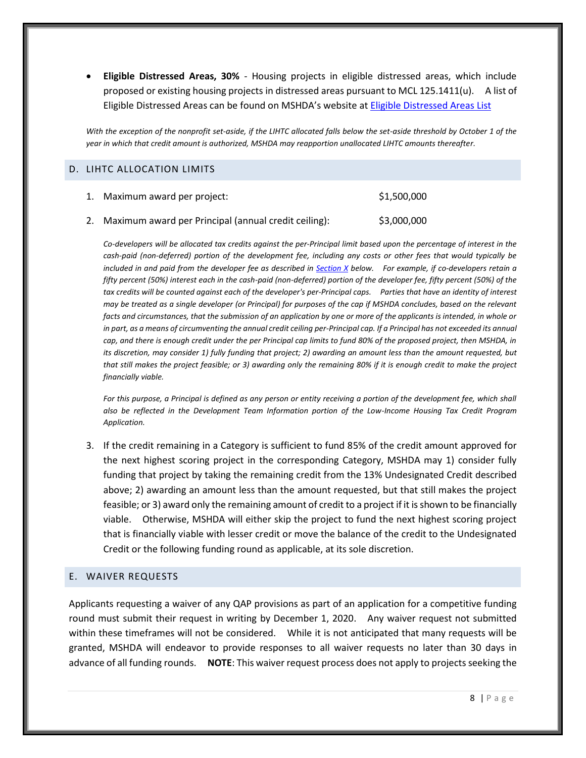• **Eligible Distressed Areas, 30%** - Housing projects in eligible distressed areas, which include proposed or existing housing projects in distressed areas pursuant to MCL 125.1411(u). A list of Eligible Distressed Areas can be found on MSHDA's website at [Eligible Distressed Areas List](http://www.michigan.gov/documents/mshda/mshda_li_ca_17_tab_h_elig_dist_areas_183868_7.pdf)

*With the exception of the nonprofit set-aside, if the LIHTC allocated falls below the set-aside threshold by October 1 of the year in which that credit amount is authorized, MSHDA may reapportion unallocated LIHTC amounts thereafter.*

#### <span id="page-11-0"></span>D. LIHTC ALLOCATION LIMITS

| 1. Maximum award per project:                           | \$1,500,000 |
|---------------------------------------------------------|-------------|
| 2. Maximum award per Principal (annual credit ceiling): | \$3,000,000 |

*Co-developers will be allocated tax credits against the per-Principal limit based upon the percentage of interest in the cash-paid (non-deferred) portion of the development fee, including any costs or other fees that would typically be included in and paid from the developer fee as described in [Section X](#page-15-0) below. For example, if co-developers retain a fifty percent (50%) interest each in the cash-paid (non-deferred) portion of the developer fee, fifty percent (50%) of the*  tax credits will be counted against each of the developer's per-Principal caps. Parties that have an identity of interest *may be treated as a single developer (or Principal) for purposes of the cap if MSHDA concludes, based on the relevant facts and circumstances, that the submission of an application by one or more of the applicants is intended, in whole or in part, as a means of circumventing the annual credit ceiling per-Principal cap. If a Principal has not exceeded its annual cap, and there is enough credit under the per Principal cap limits to fund 80% of the proposed project, then MSHDA, in its discretion, may consider 1) fully funding that project; 2) awarding an amount less than the amount requested, but that still makes the project feasible; or 3) awarding only the remaining 80% if it is enough credit to make the project financially viable.*

For this purpose, a Principal is defined as any person or entity receiving a portion of the development fee, which shall *also be reflected in the Development Team Information portion of the Low-Income Housing Tax Credit Program Application.*

3. If the credit remaining in a Category is sufficient to fund 85% of the credit amount approved for the next highest scoring project in the corresponding Category, MSHDA may 1) consider fully funding that project by taking the remaining credit from the 13% Undesignated Credit described above; 2) awarding an amount less than the amount requested, but that still makes the project feasible; or 3) award only the remaining amount of credit to a project if it is shown to be financially viable. Otherwise, MSHDA will either skip the project to fund the next highest scoring project that is financially viable with lesser credit or move the balance of the credit to the Undesignated Credit or the following funding round as applicable, at its sole discretion.

#### <span id="page-11-1"></span>E. WAIVER REQUESTS

Applicants requesting a waiver of any QAP provisions as part of an application for a competitive funding round must submit their request in writing by December 1, 2020. Any waiver request not submitted within these timeframes will not be considered. While it is not anticipated that many requests will be granted, MSHDA will endeavor to provide responses to all waiver requests no later than 30 days in advance of all funding rounds. **NOTE**: This waiver request process does not apply to projects seeking the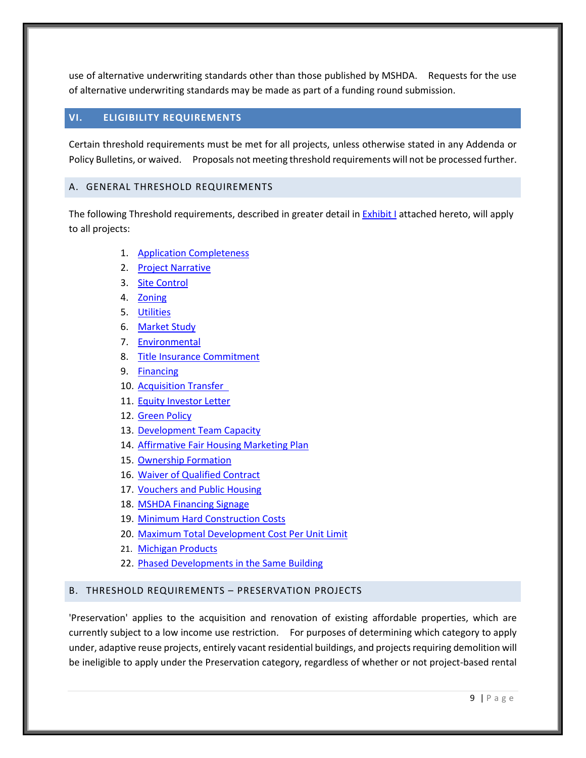use of alternative underwriting standards other than those published by MSHDA. Requests for the use of alternative underwriting standards may be made as part of a funding round submission.

## <span id="page-12-0"></span>**VI. ELIGIBILITY REQUIREMENTS**

Certain threshold requirements must be met for all projects, unless otherwise stated in any Addenda or Policy Bulletins, or waived. Proposals not meeting threshold requirements will not be processed further.

## <span id="page-12-1"></span>A. GENERAL THRESHOLD REQUIREMENTS

The following Threshold requirements, described in greater detail in **Exhibit I** attached hereto, will apply to all projects:

- 1. [Application Completeness](#page-23-1)
- 2. [Project Narrative](#page-23-1)
- 3. [Site Control](#page-23-5)
- 4. [Zoning](#page-23-6)
- 5. [Utilities](#page-24-5)
- 6. [Market Study](#page-24-6)
- 7. [Environmental](#page-24-7)
- 8. [Title Insurance Commitment](#page-24-3)
- 9. [Financing](#page-24-8)
- 10. [Acquisition Transfer](#page-25-0)
- 11. [Equity Investor Letter](#page-25-1)
- 12. [Green Policy](#page-26-3)
- 13. [Development Team Capacity](#page-26-2)
- 14. [Affirmative Fair Housing Marketing Plan](#page-27-0)
- 15. [Ownership Formation](#page-27-1)
- 16. [Waiver of Qualified Contract](#page-27-2)
- 17. [Vouchers and Public Housing](#page-28-1)
- 18. [MSHDA Financing Signage](#page-28-2)
- 19. [Minimum Hard Construction Costs](#page-28-3)
- 20. Maximum Total Development Cost Per Unit Limit
- 21. [Michigan Products](#page-29-0)
- 22. [Phased Developments in the Same Building](#page-29-1)

#### <span id="page-12-2"></span>B. THRESHOLD REQUIREMENTS – PRESERVATION PROJECTS

'Preservation' applies to the acquisition and renovation of existing affordable properties, which are currently subject to a low income use restriction. For purposes of determining which category to apply under, adaptive reuse projects, entirely vacant residential buildings, and projects requiring demolition will be ineligible to apply under the Preservation category, regardless of whether or not project-based rental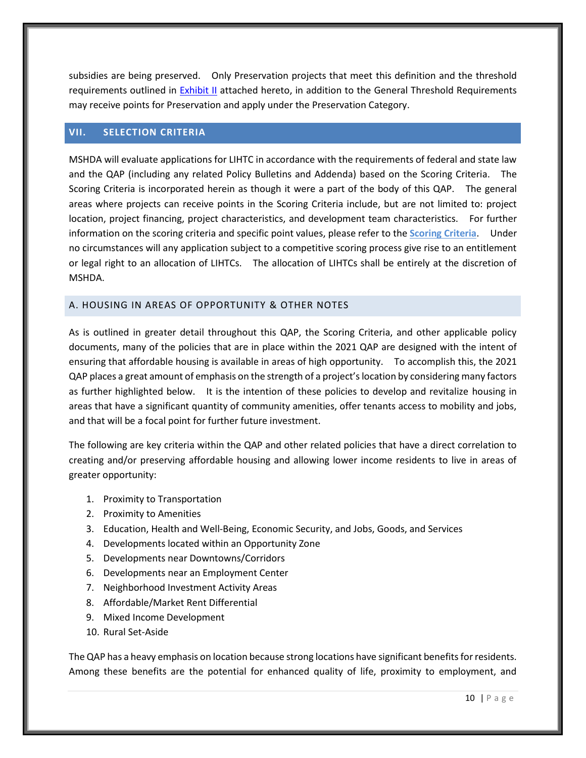subsidies are being preserved. Only Preservation projects that meet this definition and the threshold requirements outlined in [Exhibit II](#page-29-2) attached hereto, in addition to the General Threshold Requirements may receive points for Preservation and apply under the Preservation Category.

## <span id="page-13-0"></span>**VII. SELECTION CRITERIA**

MSHDA will evaluate applications for LIHTC in accordance with the requirements of federal and state law and the QAP (including any related Policy Bulletins and Addenda) based on the Scoring Criteria. The Scoring Criteria is incorporated herein as though it were a part of the body of this QAP. The general areas where projects can receive points in the Scoring Criteria include, but are not limited to: project location, project financing, project characteristics, and development team characteristics. For further information on the scoring criteria and specific point values, please refer to the **Scoring Criteria**. Under no circumstances will any application subject to a competitive scoring process give rise to an entitlement or legal right to an allocation of LIHTCs. The allocation of LIHTCs shall be entirely at the discretion of MSHDA.

#### <span id="page-13-1"></span>A. HOUSING IN AREAS OF OPPORTUNITY & OTHER NOTES

As is outlined in greater detail throughout this QAP, the Scoring Criteria, and other applicable policy documents, many of the policies that are in place within the 2021 QAP are designed with the intent of ensuring that affordable housing is available in areas of high opportunity. To accomplish this, the 2021 QAP places a great amount of emphasis on the strength of a project's location by considering many factors as further highlighted below. It is the intention of these policies to develop and revitalize housing in areas that have a significant quantity of community amenities, offer tenants access to mobility and jobs, and that will be a focal point for further future investment.

The following are key criteria within the QAP and other related policies that have a direct correlation to creating and/or preserving affordable housing and allowing lower income residents to live in areas of greater opportunity:

- 1. Proximity to Transportation
- 2. Proximity to Amenities
- 3. Education, Health and Well-Being, Economic Security, and Jobs, Goods, and Services
- 4. Developments located within an Opportunity Zone
- 5. Developments near Downtowns/Corridors
- 6. Developments near an Employment Center
- 7. Neighborhood Investment Activity Areas
- 8. Affordable/Market Rent Differential
- 9. Mixed Income Development
- 10. Rural Set-Aside

The QAP has a heavy emphasis on location because strong locations have significant benefits for residents. Among these benefits are the potential for enhanced quality of life, proximity to employment, and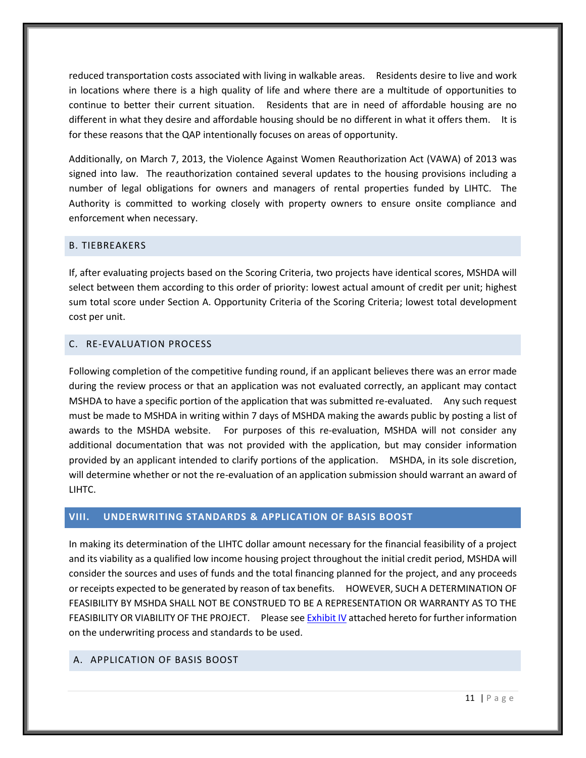reduced transportation costs associated with living in walkable areas. Residents desire to live and work in locations where there is a high quality of life and where there are a multitude of opportunities to continue to better their current situation. Residents that are in need of affordable housing are no different in what they desire and affordable housing should be no different in what it offers them. It is for these reasons that the QAP intentionally focuses on areas of opportunity.

Additionally, on March 7, 2013, the Violence Against Women Reauthorization Act (VAWA) of 2013 was signed into law. The reauthorization contained several updates to the housing provisions including a number of legal obligations for owners and managers of rental properties funded by LIHTC. The Authority is committed to working closely with property owners to ensure onsite compliance and enforcement when necessary.

#### <span id="page-14-0"></span>B. TIEBREAKERS

If, after evaluating projects based on the Scoring Criteria, two projects have identical scores, MSHDA will select between them according to this order of priority: lowest actual amount of credit per unit; highest sum total score under Section A. Opportunity Criteria of the Scoring Criteria; lowest total development cost per unit.

#### <span id="page-14-1"></span>C. RE-EVALUATION PROCESS

Following completion of the competitive funding round, if an applicant believes there was an error made during the review process or that an application was not evaluated correctly, an applicant may contact MSHDA to have a specific portion of the application that was submitted re-evaluated. Any such request must be made to MSHDA in writing within 7 days of MSHDA making the awards public by posting a list of awards to the MSHDA website. For purposes of this re-evaluation, MSHDA will not consider any additional documentation that was not provided with the application, but may consider information provided by an applicant intended to clarify portions of the application. MSHDA, in its sole discretion, will determine whether or not the re-evaluation of an application submission should warrant an award of LIHTC.

## <span id="page-14-2"></span>**VIII. UNDERWRITING STANDARDS & APPLICATION OF BASIS BOOST**

In making its determination of the LIHTC dollar amount necessary for the financial feasibility of a project and its viability as a qualified low income housing project throughout the initial credit period, MSHDA will consider the sources and uses of funds and the total financing planned for the project, and any proceeds or receipts expected to be generated by reason of tax benefits. HOWEVER, SUCH A DETERMINATION OF FEASIBILITY BY MSHDA SHALL NOT BE CONSTRUED TO BE A REPRESENTATION OR WARRANTY AS TO THE FEASIBILITY OR VIABILITY OF THE PROJECT. Please se[e Exhibit IV](#page-33-0) attached hereto for further information on the underwriting process and standards to be used.

#### <span id="page-14-3"></span>A. APPLICATION OF BASIS BOOST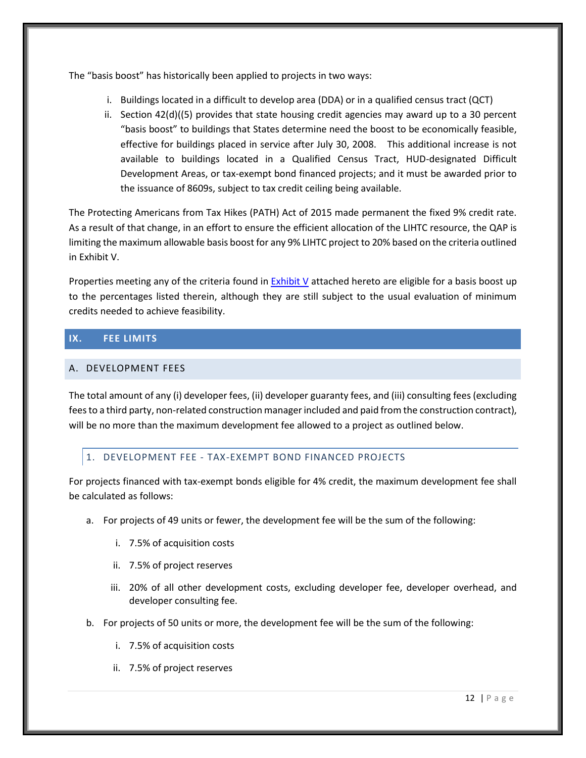The "basis boost" has historically been applied to projects in two ways:

- i. Buildings located in a difficult to develop area (DDA) or in a qualified census tract (QCT)
- ii. Section 42(d)((5) provides that state housing credit agencies may award up to a 30 percent "basis boost" to buildings that States determine need the boost to be economically feasible, effective for buildings placed in service after July 30, 2008. This additional increase is not available to buildings located in a Qualified Census Tract, HUD-designated Difficult Development Areas, or tax-exempt bond financed projects; and it must be awarded prior to the issuance of 8609s, subject to tax credit ceiling being available.

The Protecting Americans from Tax Hikes (PATH) Act of 2015 made permanent the fixed 9% credit rate. As a result of that change, in an effort to ensure the efficient allocation of the LIHTC resource, the QAP is limiting the maximum allowable basis boost for any 9% LIHTC project to 20% based on the criteria outlined in Exhibit V.

Properties meeting any of the criteria found in [Exhibit V](#page-35-0) attached hereto are eligible for a basis boost up to the percentages listed therein, although they are still subject to the usual evaluation of minimum credits needed to achieve feasibility.

## <span id="page-15-0"></span>**IX. FEE LIMITS**

#### <span id="page-15-1"></span>A. DEVELOPMENT FEES

The total amount of any (i) developer fees, (ii) developer guaranty fees, and (iii) consulting fees (excluding fees to a third party, non-related construction manager included and paid from the construction contract), will be no more than the maximum development fee allowed to a project as outlined below.

## <span id="page-15-2"></span>1. DEVELOPMENT FEE - TAX-EXEMPT BOND FINANCED PROJECTS

For projects financed with tax-exempt bonds eligible for 4% credit, the maximum development fee shall be calculated as follows:

- a. For projects of 49 units or fewer, the development fee will be the sum of the following:
	- i. 7.5% of acquisition costs
	- ii. 7.5% of project reserves
	- iii. 20% of all other development costs, excluding developer fee, developer overhead, and developer consulting fee.
- b. For projects of 50 units or more, the development fee will be the sum of the following:
	- i. 7.5% of acquisition costs
	- ii. 7.5% of project reserves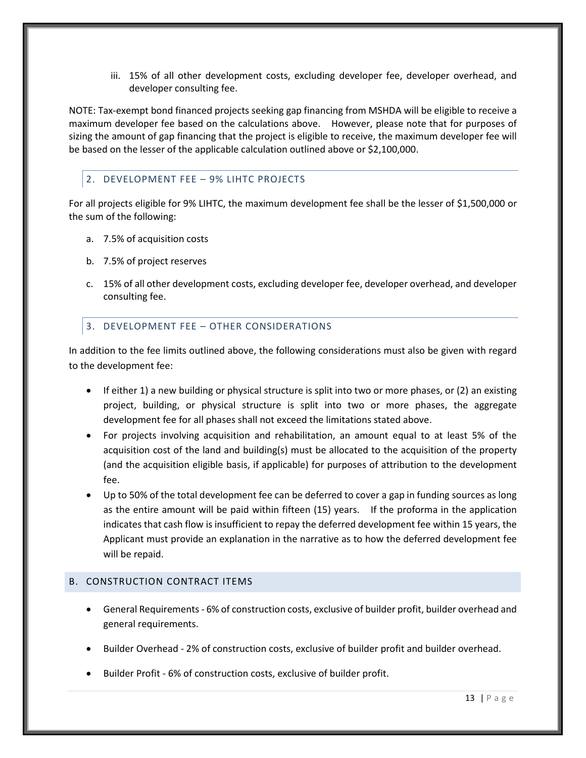iii. 15% of all other development costs, excluding developer fee, developer overhead, and developer consulting fee.

NOTE: Tax-exempt bond financed projects seeking gap financing from MSHDA will be eligible to receive a maximum developer fee based on the calculations above. However, please note that for purposes of sizing the amount of gap financing that the project is eligible to receive, the maximum developer fee will be based on the lesser of the applicable calculation outlined above or \$2,100,000.

## <span id="page-16-0"></span>2. DEVELOPMENT FEE – 9% LIHTC PROJECTS

For all projects eligible for 9% LIHTC, the maximum development fee shall be the lesser of \$1,500,000 or the sum of the following:

- a. 7.5% of acquisition costs
- b. 7.5% of project reserves
- c. 15% of all other development costs, excluding developer fee, developer overhead, and developer consulting fee.

## <span id="page-16-1"></span>3. DEVELOPMENT FEE – OTHER CONSIDERATIONS

In addition to the fee limits outlined above, the following considerations must also be given with regard to the development fee:

- If either 1) a new building or physical structure is split into two or more phases, or (2) an existing project, building, or physical structure is split into two or more phases, the aggregate development fee for all phases shall not exceed the limitations stated above.
- For projects involving acquisition and rehabilitation, an amount equal to at least 5% of the acquisition cost of the land and building(s) must be allocated to the acquisition of the property (and the acquisition eligible basis, if applicable) for purposes of attribution to the development fee.
- Up to 50% of the total development fee can be deferred to cover a gap in funding sources as long as the entire amount will be paid within fifteen (15) years. If the proforma in the application indicates that cash flow is insufficient to repay the deferred development fee within 15 years, the Applicant must provide an explanation in the narrative as to how the deferred development fee will be repaid.

#### <span id="page-16-2"></span>B. CONSTRUCTION CONTRACT ITEMS

- General Requirements 6% of construction costs, exclusive of builder profit, builder overhead and general requirements.
- Builder Overhead 2% of construction costs, exclusive of builder profit and builder overhead.
- Builder Profit 6% of construction costs, exclusive of builder profit.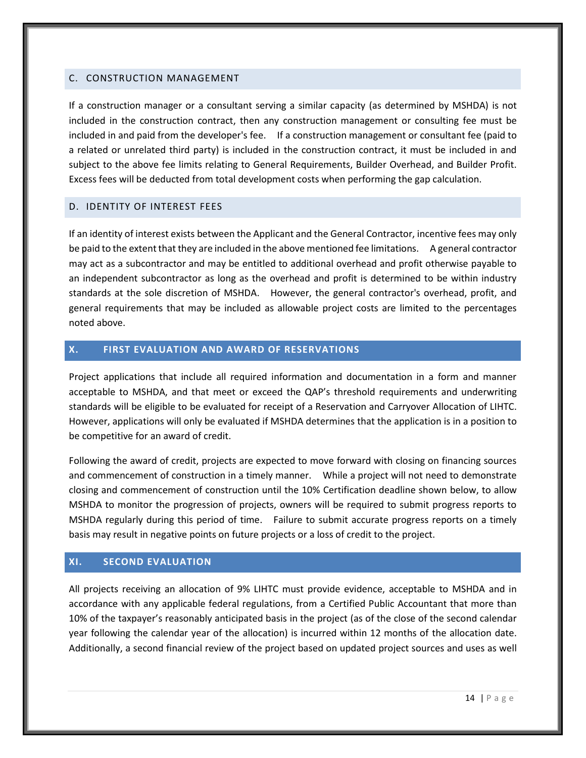#### <span id="page-17-0"></span>C. CONSTRUCTION MANAGEMENT

If a construction manager or a consultant serving a similar capacity (as determined by MSHDA) is not included in the construction contract, then any construction management or consulting fee must be included in and paid from the developer's fee. If a construction management or consultant fee (paid to a related or unrelated third party) is included in the construction contract, it must be included in and subject to the above fee limits relating to General Requirements, Builder Overhead, and Builder Profit. Excess fees will be deducted from total development costs when performing the gap calculation.

#### <span id="page-17-1"></span>D. IDENTITY OF INTEREST FEES

If an identity of interest exists between the Applicant and the General Contractor, incentive fees may only be paid to the extent that they are included in the above mentioned fee limitations. A general contractor may act as a subcontractor and may be entitled to additional overhead and profit otherwise payable to an independent subcontractor as long as the overhead and profit is determined to be within industry standards at the sole discretion of MSHDA. However, the general contractor's overhead, profit, and general requirements that may be included as allowable project costs are limited to the percentages noted above.

## <span id="page-17-2"></span>**X. FIRST EVALUATION AND AWARD OF RESERVATIONS**

Project applications that include all required information and documentation in a form and manner acceptable to MSHDA, and that meet or exceed the QAP's threshold requirements and underwriting standards will be eligible to be evaluated for receipt of a Reservation and Carryover Allocation of LIHTC. However, applications will only be evaluated if MSHDA determines that the application is in a position to be competitive for an award of credit.

Following the award of credit, projects are expected to move forward with closing on financing sources and commencement of construction in a timely manner. While a project will not need to demonstrate closing and commencement of construction until the 10% Certification deadline shown below, to allow MSHDA to monitor the progression of projects, owners will be required to submit progress reports to MSHDA regularly during this period of time. Failure to submit accurate progress reports on a timely basis may result in negative points on future projects or a loss of credit to the project.

#### <span id="page-17-3"></span>**XI. SECOND EVALUATION**

All projects receiving an allocation of 9% LIHTC must provide evidence, acceptable to MSHDA and in accordance with any applicable federal regulations, from a Certified Public Accountant that more than 10% of the taxpayer's reasonably anticipated basis in the project (as of the close of the second calendar year following the calendar year of the allocation) is incurred within 12 months of the allocation date. Additionally, a second financial review of the project based on updated project sources and uses as well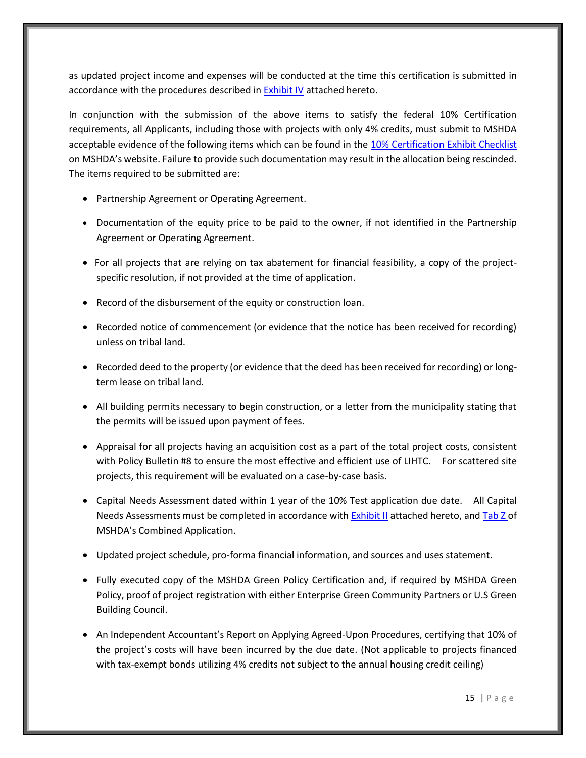as updated project income and expenses will be conducted at the time this certification is submitted in accordance with the procedures described i[n Exhibit IV](#page-33-0) attached hereto.

In conjunction with the submission of the above items to satisfy the federal 10% Certification requirements, all Applicants, including those with projects with only 4% credits, must submit to MSHDA acceptable evidence of the following items which can be found in the [10% Certification](http://www.michigan.gov/mshda/0,4641,7-141-5587_5601-134725--,00.html) Exhibit Checklist on MSHDA's website. Failure to provide such documentation may result in the allocation being rescinded. The items required to be submitted are:

- Partnership Agreement or Operating Agreement.
- Documentation of the equity price to be paid to the owner, if not identified in the Partnership Agreement or Operating Agreement.
- For all projects that are relying on tax abatement for financial feasibility, a copy of the projectspecific resolution, if not provided at the time of application.
- Record of the disbursement of the equity or construction loan.
- Recorded notice of commencement (or evidence that the notice has been received for recording) unless on tribal land.
- Recorded deed to the property (or evidence that the deed has been received for recording) or longterm lease on tribal land.
- All building permits necessary to begin construction, or a letter from the municipality stating that the permits will be issued upon payment of fees.
- Appraisal for all projects having an acquisition cost as a part of the total project costs, consistent with Policy Bulletin #8 to ensure the most effective and efficient use of LIHTC. For scattered site projects, this requirement will be evaluated on a case-by-case basis.
- Capital Needs Assessment dated within 1 year of the 10% Test application due date. All Capital Needs Assessments must be completed in accordance with **Exhibit II** attached hereto, an[d Tab Z o](http://www.michigan.gov/documents/mshda/mshda_li_ca_35_tab_z_capital_needs_assess_183891_7.pdf)f MSHDA's Combined Application.
- Updated project schedule, pro-forma financial information, and sources and uses statement.
- Fully executed copy of the MSHDA Green Policy Certification and, if required by MSHDA Green Policy, proof of project registration with either Enterprise Green Community Partners or U.S Green Building Council.
- An Independent Accountant's Report on Applying Agreed-Upon Procedures, certifying that 10% of the project's costs will have been incurred by the due date. (Not applicable to projects financed with tax-exempt bonds utilizing 4% credits not subject to the annual housing credit ceiling)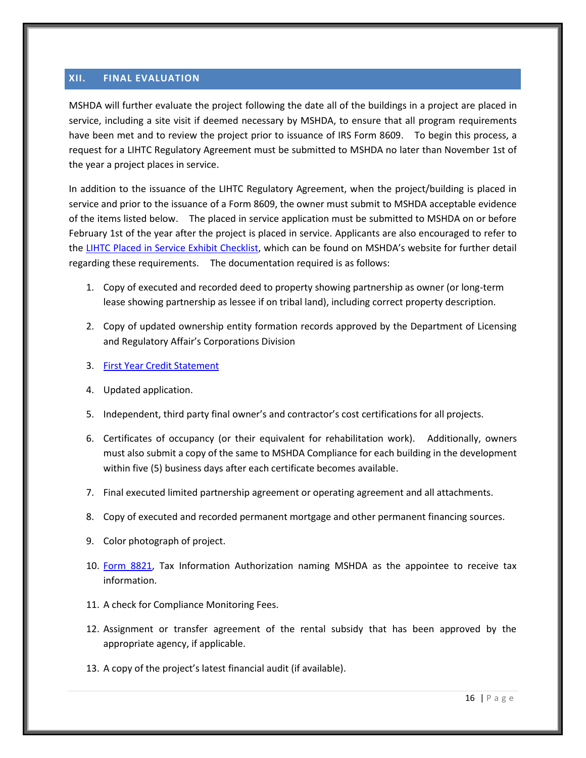#### <span id="page-19-0"></span>**XII. FINAL EVALUATION**

MSHDA will further evaluate the project following the date all of the buildings in a project are placed in service, including a site visit if deemed necessary by MSHDA, to ensure that all program requirements have been met and to review the project prior to issuance of IRS Form 8609. To begin this process, a request for a LIHTC Regulatory Agreement must be submitted to MSHDA no later than November 1st of the year a project places in service.

In addition to the issuance of the LIHTC Regulatory Agreement, when the project/building is placed in service and prior to the issuance of a Form 8609, the owner must submit to MSHDA acceptable evidence of the items listed below. The placed in service application must be submitted to MSHDA on or before February 1st of the year after the project is placed in service. Applicants are also encouraged to refer to the [LIHTC Placed in Service Exhibit Checklist](http://www.michigan.gov/mshda/0,4641,7-141-5587_5601-134727--,00.html), which can be found on MSHDA's website for further detail regarding these requirements. The documentation required is as follows:

- 1. Copy of executed and recorded deed to property showing partnership as owner (or long-term lease showing partnership as lessee if on tribal land), including correct property description.
- 2. Copy of updated ownership entity formation records approved by the Department of Licensing and Regulatory Affair's Corporations Division
- 3. [First Year Credit Statement](http://www.michigan.gov/mshda/0,4641,7-141-5587_5601-134727--,00.html)
- 4. Updated application.
- 5. Independent, third party final owner's and contractor's cost certifications for all projects.
- 6. Certificates of occupancy (or their equivalent for rehabilitation work). Additionally, owners must also submit a copy of the same to MSHDA Compliance for each building in the development within five (5) business days after each certificate becomes available.
- 7. Final executed limited partnership agreement or operating agreement and all attachments.
- 8. Copy of executed and recorded permanent mortgage and other permanent financing sources.
- 9. Color photograph of project.
- 10. [Form 8821,](http://www.michigan.gov/documents/mshda/mshda_li_af_q_irs_form_8821_204518_7.pdf) Tax Information Authorization naming MSHDA as the appointee to receive tax information.
- 11. A check for Compliance Monitoring Fees.
- 12. Assignment or transfer agreement of the rental subsidy that has been approved by the appropriate agency, if applicable.
- 13. A copy of the project's latest financial audit (if available).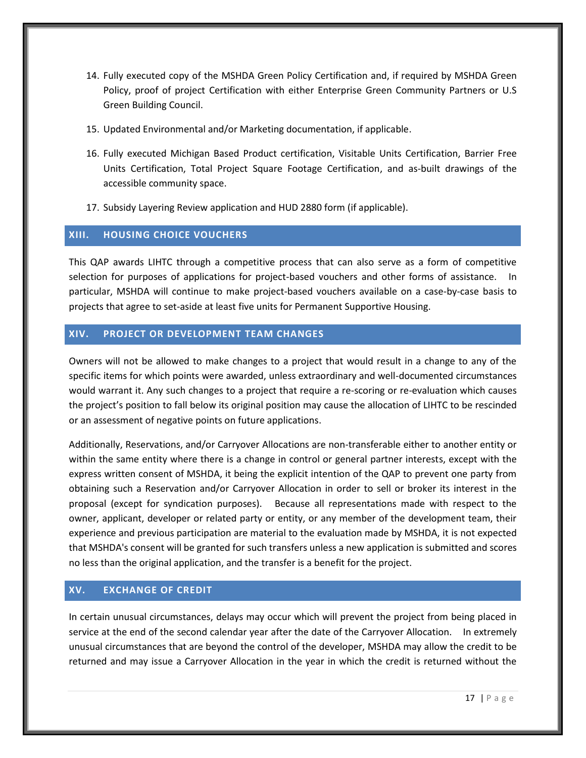- 14. Fully executed copy of the MSHDA Green Policy Certification and, if required by MSHDA Green Policy, proof of project Certification with either Enterprise Green Community Partners or U.S Green Building Council.
- 15. Updated Environmental and/or Marketing documentation, if applicable.
- 16. Fully executed Michigan Based Product certification, Visitable Units Certification, Barrier Free Units Certification, Total Project Square Footage Certification, and as-built drawings of the accessible community space.
- 17. Subsidy Layering Review application and HUD 2880 form (if applicable).

#### <span id="page-20-0"></span>**XIII. HOUSING CHOICE VOUCHERS**

This QAP awards LIHTC through a competitive process that can also serve as a form of competitive selection for purposes of applications for project-based vouchers and other forms of assistance. In particular, MSHDA will continue to make project-based vouchers available on a case-by-case basis to projects that agree to set-aside at least five units for Permanent Supportive Housing.

#### <span id="page-20-1"></span>**XIV. PROJECT OR DEVELOPMENT TEAM CHANGES**

Owners will not be allowed to make changes to a project that would result in a change to any of the specific items for which points were awarded, unless extraordinary and well-documented circumstances would warrant it. Any such changes to a project that require a re-scoring or re-evaluation which causes the project's position to fall below its original position may cause the allocation of LIHTC to be rescinded or an assessment of negative points on future applications.

Additionally, Reservations, and/or Carryover Allocations are non-transferable either to another entity or within the same entity where there is a change in control or general partner interests, except with the express written consent of MSHDA, it being the explicit intention of the QAP to prevent one party from obtaining such a Reservation and/or Carryover Allocation in order to sell or broker its interest in the proposal (except for syndication purposes). Because all representations made with respect to the owner, applicant, developer or related party or entity, or any member of the development team, their experience and previous participation are material to the evaluation made by MSHDA, it is not expected that MSHDA's consent will be granted for such transfers unless a new application is submitted and scores no less than the original application, and the transfer is a benefit for the project.

## <span id="page-20-2"></span>**XV. EXCHANGE OF CREDIT**

In certain unusual circumstances, delays may occur which will prevent the project from being placed in service at the end of the second calendar year after the date of the Carryover Allocation. In extremely unusual circumstances that are beyond the control of the developer, MSHDA may allow the credit to be returned and may issue a Carryover Allocation in the year in which the credit is returned without the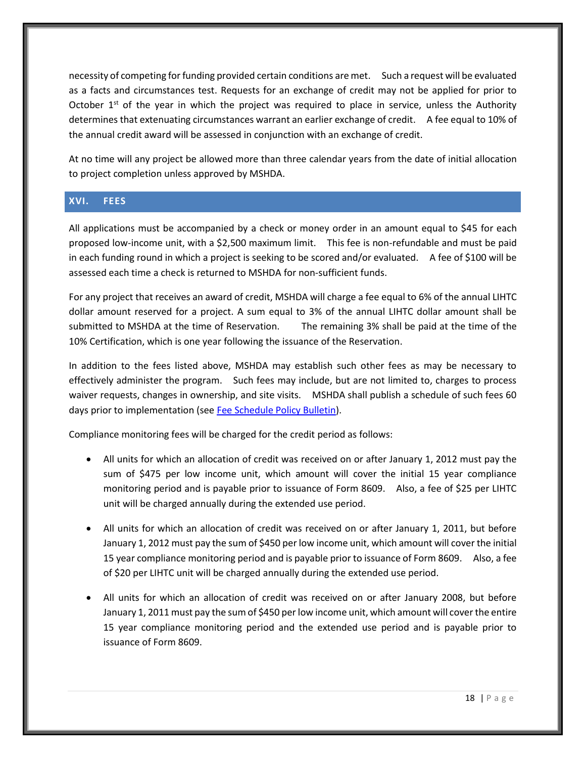necessity of competing for funding provided certain conditions are met. Such a request will be evaluated as a facts and circumstances test. Requests for an exchange of credit may not be applied for prior to October  $1<sup>st</sup>$  of the year in which the project was required to place in service, unless the Authority determines that extenuating circumstances warrant an earlier exchange of credit. A fee equal to 10% of the annual credit award will be assessed in conjunction with an exchange of credit.

At no time will any project be allowed more than three calendar years from the date of initial allocation to project completion unless approved by MSHDA.

## <span id="page-21-0"></span>**XVI. FEES**

All applications must be accompanied by a check or money order in an amount equal to \$45 for each proposed low-income unit, with a \$2,500 maximum limit. This fee is non-refundable and must be paid in each funding round in which a project is seeking to be scored and/or evaluated. A fee of \$100 will be assessed each time a check is returned to MSHDA for non-sufficient funds.

For any project that receives an award of credit, MSHDA will charge a fee equal to 6% of the annual LIHTC dollar amount reserved for a project. A sum equal to 3% of the annual LIHTC dollar amount shall be submitted to MSHDA at the time of Reservation. The remaining 3% shall be paid at the time of the 10% Certification, which is one year following the issuance of the Reservation.

In addition to the fees listed above, MSHDA may establish such other fees as may be necessary to effectively administer the program. Such fees may include, but are not limited to, charges to process waiver requests, changes in ownership, and site visits. MSHDA shall publish a schedule of such fees 60 days prior to implementation (se[e Fee Schedule Policy Bulletin\)](http://www.michigan.gov/documents/mshda/mshda_li_ca_32_tab_w_lihtc_policy_bulletins_183888_7.pdf).

Compliance monitoring fees will be charged for the credit period as follows:

- All units for which an allocation of credit was received on or after January 1, 2012 must pay the sum of \$475 per low income unit, which amount will cover the initial 15 year compliance monitoring period and is payable prior to issuance of Form 8609. Also, a fee of \$25 per LIHTC unit will be charged annually during the extended use period.
- All units for which an allocation of credit was received on or after January 1, 2011, but before January 1, 2012 must pay the sum of \$450 per low income unit, which amount will cover the initial 15 year compliance monitoring period and is payable prior to issuance of Form 8609. Also, a fee of \$20 per LIHTC unit will be charged annually during the extended use period.
- All units for which an allocation of credit was received on or after January 2008, but before January 1, 2011 must pay the sum of \$450 per low income unit, which amount will cover the entire 15 year compliance monitoring period and the extended use period and is payable prior to issuance of Form 8609.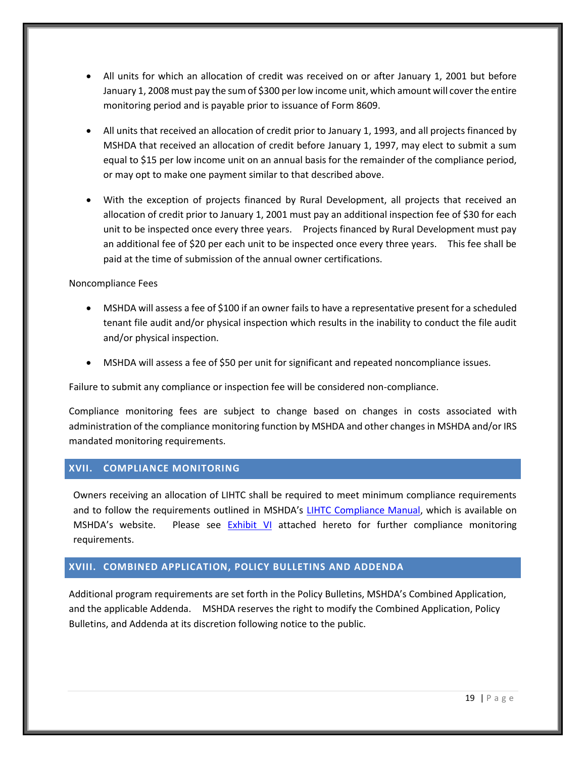- All units for which an allocation of credit was received on or after January 1, 2001 but before January 1, 2008 must pay the sum of \$300 per low income unit, which amount will cover the entire monitoring period and is payable prior to issuance of Form 8609.
- All units that received an allocation of credit prior to January 1, 1993, and all projects financed by MSHDA that received an allocation of credit before January 1, 1997, may elect to submit a sum equal to \$15 per low income unit on an annual basis for the remainder of the compliance period, or may opt to make one payment similar to that described above.
- With the exception of projects financed by Rural Development, all projects that received an allocation of credit prior to January 1, 2001 must pay an additional inspection fee of \$30 for each unit to be inspected once every three years. Projects financed by Rural Development must pay an additional fee of \$20 per each unit to be inspected once every three years. This fee shall be paid at the time of submission of the annual owner certifications.

Noncompliance Fees

- MSHDA will assess a fee of \$100 if an owner fails to have a representative present for a scheduled tenant file audit and/or physical inspection which results in the inability to conduct the file audit and/or physical inspection.
- MSHDA will assess a fee of \$50 per unit for significant and repeated noncompliance issues.

Failure to submit any compliance or inspection fee will be considered non-compliance.

Compliance monitoring fees are subject to change based on changes in costs associated with administration of the compliance monitoring function by MSHDA and other changes in MSHDA and/or IRS mandated monitoring requirements.

## <span id="page-22-0"></span>**XVII. COMPLIANCE MONITORING**

Owners receiving an allocation of LIHTC shall be required to meet minimum compliance requirements and to follow the requirements outlined in MSHDA's [LIHTC Compliance Manual,](http://www.michigan.gov/mshda/0,4641,7-141-8002_26576_26578---,00.html) which is available on MSHDA's website. Please see  $Exhibit$  VI attached hereto for further compliance monitoring requirements.

#### <span id="page-22-1"></span>**XVIII. COMBINED APPLICATION, POLICY BULLETINS AND ADDENDA**

Additional program requirements are set forth in the Policy Bulletins, MSHDA's Combined Application, and the applicable Addenda. MSHDA reserves the right to modify the Combined Application, Policy Bulletins, and Addenda at its discretion following notice to the public.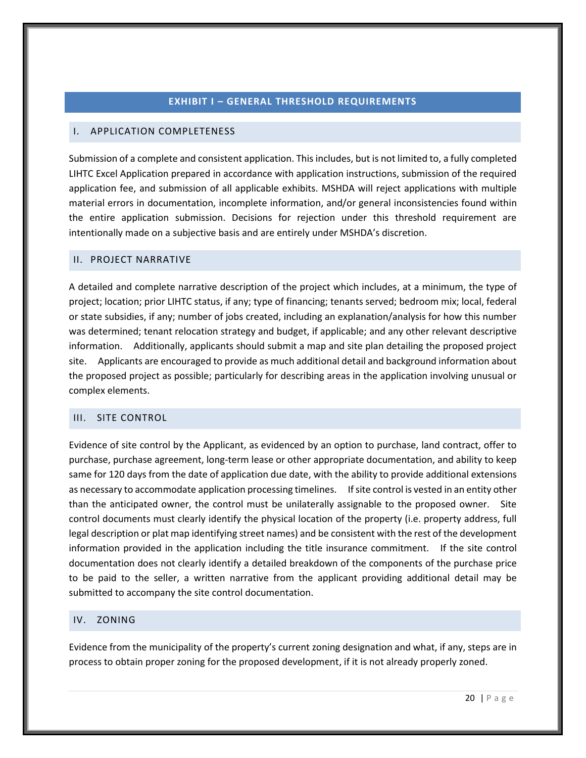#### **EXHIBIT I – GENERAL THRESHOLD REQUIREMENTS**

#### <span id="page-23-1"></span><span id="page-23-0"></span>I. APPLICATION COMPLETENESS

Submission of a complete and consistent application. This includes, but is not limited to, a fully completed LIHTC Excel Application prepared in accordance with application instructions, submission of the required application fee, and submission of all applicable exhibits. MSHDA will reject applications with multiple material errors in documentation, incomplete information, and/or general inconsistencies found within the entire application submission. Decisions for rejection under this threshold requirement are intentionally made on a subjective basis and are entirely under MSHDA's discretion.

#### <span id="page-23-2"></span>II. PROJECT NARRATIVE

A detailed and complete narrative description of the project which includes, at a minimum, the type of project; location; prior LIHTC status, if any; type of financing; tenants served; bedroom mix; local, federal or state subsidies, if any; number of jobs created, including an explanation/analysis for how this number was determined; tenant relocation strategy and budget, if applicable; and any other relevant descriptive information. Additionally, applicants should submit a map and site plan detailing the proposed project site. Applicants are encouraged to provide as much additional detail and background information about the proposed project as possible; particularly for describing areas in the application involving unusual or complex elements.

#### <span id="page-23-5"></span><span id="page-23-3"></span>III. SITE CONTROL

Evidence of site control by the Applicant, as evidenced by an option to purchase, land contract, offer to purchase, purchase agreement, long-term lease or other appropriate documentation, and ability to keep same for 120 days from the date of application due date, with the ability to provide additional extensions as necessary to accommodate application processing timelines. If site control is vested in an entity other than the anticipated owner, the control must be unilaterally assignable to the proposed owner. Site control documents must clearly identify the physical location of the property (i.e. property address, full legal description or plat map identifying street names) and be consistent with the rest of the development information provided in the application including the title insurance commitment. If the site control documentation does not clearly identify a detailed breakdown of the components of the purchase price to be paid to the seller, a written narrative from the applicant providing additional detail may be submitted to accompany the site control documentation.

#### <span id="page-23-6"></span><span id="page-23-4"></span>IV. ZONING

Evidence from the municipality of the property's current zoning designation and what, if any, steps are in process to obtain proper zoning for the proposed development, if it is not already properly zoned.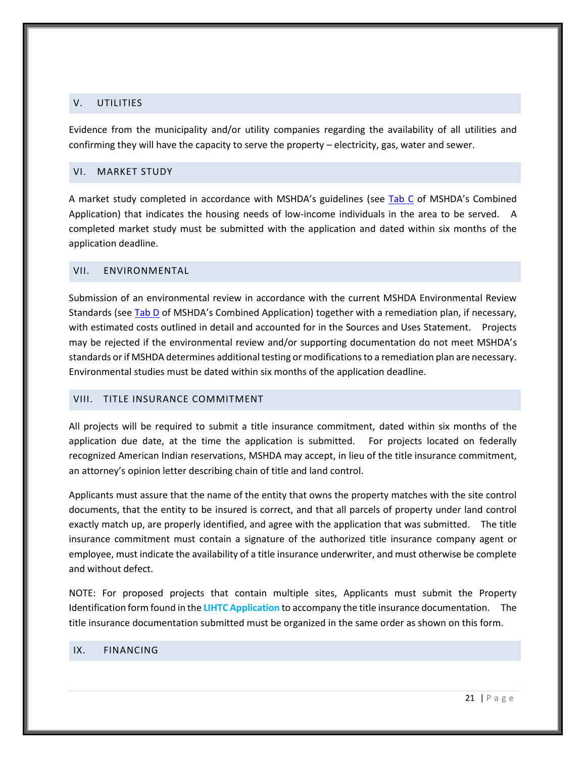#### <span id="page-24-5"></span><span id="page-24-0"></span>V. UTILITIES

Evidence from the municipality and/or utility companies regarding the availability of all utilities and confirming they will have the capacity to serve the property – electricity, gas, water and sewer.

#### <span id="page-24-6"></span><span id="page-24-1"></span>VI. MARKET STUDY

A market study completed in accordance with MSHDA's guidelines (see [Tab C](http://www.michigan.gov/mshda/0,4641,7-141-5587_5601-60010--,00.html) of MSHDA's Combined Application) that indicates the housing needs of low-income individuals in the area to be served. A completed market study must be submitted with the application and dated within six months of the application deadline.

#### <span id="page-24-7"></span><span id="page-24-2"></span>VII. ENVIRONMENTAL

Submission of an environmental review in accordance with the current MSHDA Environmental Review Standards (se[e Tab D](http://www.michigan.gov/mshda/0,4641,7-141-5587_5601-60010--,00.html) of MSHDA's Combined Application) together with a remediation plan, if necessary, with estimated costs outlined in detail and accounted for in the Sources and Uses Statement. Projects may be rejected if the environmental review and/or supporting documentation do not meet MSHDA's standards or if MSHDA determines additional testing or modifications to a remediation plan are necessary. Environmental studies must be dated within six months of the application deadline.

#### <span id="page-24-3"></span>VIII. TITLE INSURANCE COMMITMENT

All projects will be required to submit a title insurance commitment, dated within six months of the application due date, at the time the application is submitted. For projects located on federally recognized American Indian reservations, MSHDA may accept, in lieu of the title insurance commitment, an attorney's opinion letter describing chain of title and land control.

Applicants must assure that the name of the entity that owns the property matches with the site control documents, that the entity to be insured is correct, and that all parcels of property under land control exactly match up, are properly identified, and agree with the application that was submitted. The title insurance commitment must contain a signature of the authorized title insurance company agent or employee, must indicate the availability of a title insurance underwriter, and must otherwise be complete and without defect.

NOTE: For proposed projects that contain multiple sites, Applicants must submit the Property Identification form found in the **LIHTC Application** to accompany the title insurance documentation. The title insurance documentation submitted must be organized in the same order as shown on this form.

#### <span id="page-24-8"></span><span id="page-24-4"></span>IX. FINANCING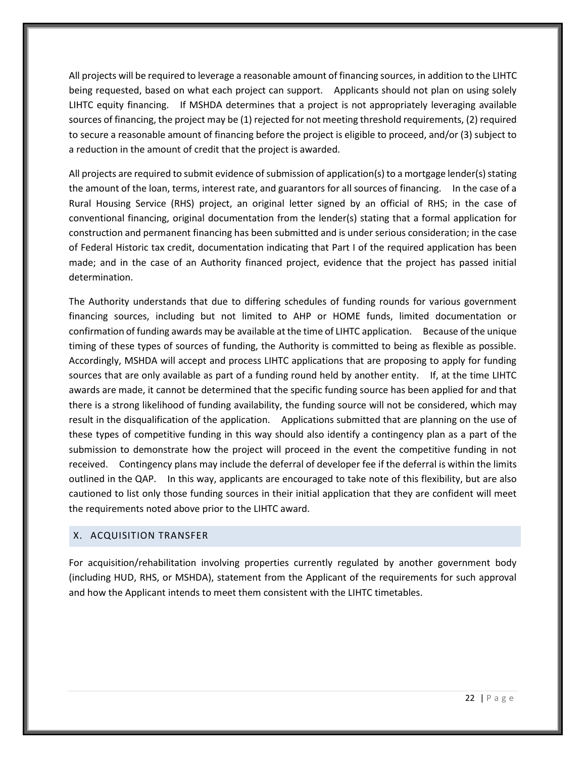All projects will be required to leverage a reasonable amount of financing sources, in addition to the LIHTC being requested, based on what each project can support. Applicants should not plan on using solely LIHTC equity financing. If MSHDA determines that a project is not appropriately leveraging available sources of financing, the project may be (1) rejected for not meeting threshold requirements, (2) required to secure a reasonable amount of financing before the project is eligible to proceed, and/or (3) subject to a reduction in the amount of credit that the project is awarded.

All projects are required to submit evidence of submission of application(s) to a mortgage lender(s) stating the amount of the loan, terms, interest rate, and guarantors for all sources of financing. In the case of a Rural Housing Service (RHS) project, an original letter signed by an official of RHS; in the case of conventional financing, original documentation from the lender(s) stating that a formal application for construction and permanent financing has been submitted and is under serious consideration; in the case of Federal Historic tax credit, documentation indicating that Part I of the required application has been made; and in the case of an Authority financed project, evidence that the project has passed initial determination.

The Authority understands that due to differing schedules of funding rounds for various government financing sources, including but not limited to AHP or HOME funds, limited documentation or confirmation of funding awards may be available at the time of LIHTC application. Because of the unique timing of these types of sources of funding, the Authority is committed to being as flexible as possible. Accordingly, MSHDA will accept and process LIHTC applications that are proposing to apply for funding sources that are only available as part of a funding round held by another entity. If, at the time LIHTC awards are made, it cannot be determined that the specific funding source has been applied for and that there is a strong likelihood of funding availability, the funding source will not be considered, which may result in the disqualification of the application. Applications submitted that are planning on the use of these types of competitive funding in this way should also identify a contingency plan as a part of the submission to demonstrate how the project will proceed in the event the competitive funding in not received. Contingency plans may include the deferral of developer fee if the deferral is within the limits outlined in the QAP. In this way, applicants are encouraged to take note of this flexibility, but are also cautioned to list only those funding sources in their initial application that they are confident will meet the requirements noted above prior to the LIHTC award.

## <span id="page-25-0"></span>X. ACQUISITION TRANSFER

<span id="page-25-1"></span>For acquisition/rehabilitation involving properties currently regulated by another government body (including HUD, RHS, or MSHDA), statement from the Applicant of the requirements for such approval and how the Applicant intends to meet them consistent with the LIHTC timetables.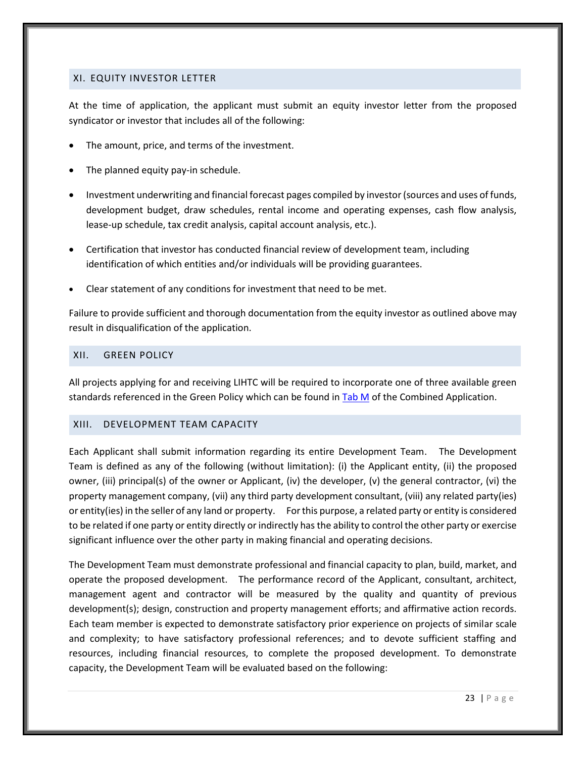#### <span id="page-26-0"></span>XI. EQUITY INVESTOR LETTER

At the time of application, the applicant must submit an equity investor letter from the proposed syndicator or investor that includes all of the following:

- The amount, price, and terms of the investment.
- The planned equity pay-in schedule.
- Investment underwriting and financial forecast pages compiled by investor (sources and uses of funds, development budget, draw schedules, rental income and operating expenses, cash flow analysis, lease-up schedule, tax credit analysis, capital account analysis, etc.).
- Certification that investor has conducted financial review of development team, including identification of which entities and/or individuals will be providing guarantees.
- Clear statement of any conditions for investment that need to be met.

Failure to provide sufficient and thorough documentation from the equity investor as outlined above may result in disqualification of the application.

#### <span id="page-26-3"></span><span id="page-26-1"></span>XII. GREEN POLICY

All projects applying for and receiving LIHTC will be required to incorporate one of three available green standards referenced in the Green Policy which can be found i[n Tab M](http://www.michigan.gov/mshda/0,4641,7-141-5587_5601-60010--,00.html) of the Combined Application.

#### <span id="page-26-2"></span>XIII. DEVELOPMENT TEAM CAPACITY

Each Applicant shall submit information regarding its entire Development Team. The Development Team is defined as any of the following (without limitation): (i) the Applicant entity, (ii) the proposed owner, (iii) principal(s) of the owner or Applicant, (iv) the developer, (v) the general contractor, (vi) the property management company, (vii) any third party development consultant, (viii) any related party(ies) or entity(ies) in the seller of any land or property. For this purpose, a related party or entity is considered to be related if one party or entity directly or indirectly has the ability to control the other party or exercise significant influence over the other party in making financial and operating decisions.

The Development Team must demonstrate professional and financial capacity to plan, build, market, and operate the proposed development. The performance record of the Applicant, consultant, architect, management agent and contractor will be measured by the quality and quantity of previous development(s); design, construction and property management efforts; and affirmative action records. Each team member is expected to demonstrate satisfactory prior experience on projects of similar scale and complexity; to have satisfactory professional references; and to devote sufficient staffing and resources, including financial resources, to complete the proposed development. To demonstrate capacity, the Development Team will be evaluated based on the following: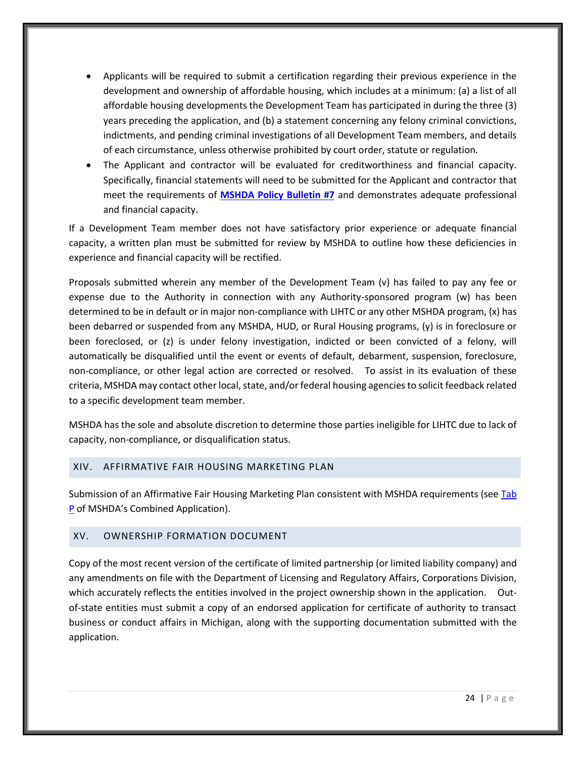- Applicants will be required to submit a certification regarding their previous experience in the development and ownership of affordable housing, which includes at a minimum: (a) a list of all affordable housing developments the Development Team has participated in during the three (3) years preceding the application, and (b) a statement concerning any felony criminal convictions, indictments, and pending criminal investigations of all Development Team members, and details of each circumstance, unless otherwise prohibited by court order, statute or regulation.
- The Applicant and contractor will be evaluated for creditworthiness and financial capacity. Specifically, financial statements will need to be submitted for the Applicant and contractor that meet the requirements of **[MSHDA Policy Bulletin #7](http://www.michigan.gov/documents/mshda/mshda_li_ca_32_tab_w_lihtc_policy_bulletins_183888_7.pdf)** and demonstrates adequate professional and financial capacity.

If a Development Team member does not have satisfactory prior experience or adequate financial capacity, a written plan must be submitted for review by MSHDA to outline how these deficiencies in experience and financial capacity will be rectified.

Proposals submitted wherein any member of the Development Team (v) has failed to pay any fee or expense due to the Authority in connection with any Authority-sponsored program (w) has been determined to be in default or in major non-compliance with LIHTC or any other MSHDA program, (x) has been debarred or suspended from any MSHDA, HUD, or Rural Housing programs, (y) is in foreclosure or been foreclosed, or (z) is under felony investigation, indicted or been convicted of a felony, will automatically be disqualified until the event or events of default, debarment, suspension, foreclosure, non-compliance, or other legal action are corrected or resolved. To assist in its evaluation of these criteria, MSHDA may contact other local, state, and/or federal housing agencies to solicit feedback related to a specific development team member.

MSHDA has the sole and absolute discretion to determine those parties ineligible for LIHTC due to lack of capacity, non-compliance, or disqualification status.

#### <span id="page-27-0"></span>XIV. AFFIRMATIVE FAIR HOUSING MARKETING PLAN

Submission of an Affirmative Fair Housing Marketing Plan consistent with MSHDA requirements (see Tab [P](http://www.michigan.gov/mshda/0,4641,7-141-5587_5601-60010--,00.html) of MSHDA's Combined Application).

#### <span id="page-27-1"></span>XV. OWNERSHIP FORMATION DOCUMENT

<span id="page-27-2"></span>Copy of the most recent version of the certificate of limited partnership (or limited liability company) and any amendments on file with the Department of Licensing and Regulatory Affairs, Corporations Division, which accurately reflects the entities involved in the project ownership shown in the application. Outof-state entities must submit a copy of an endorsed application for certificate of authority to transact business or conduct affairs in Michigan, along with the supporting documentation submitted with the application.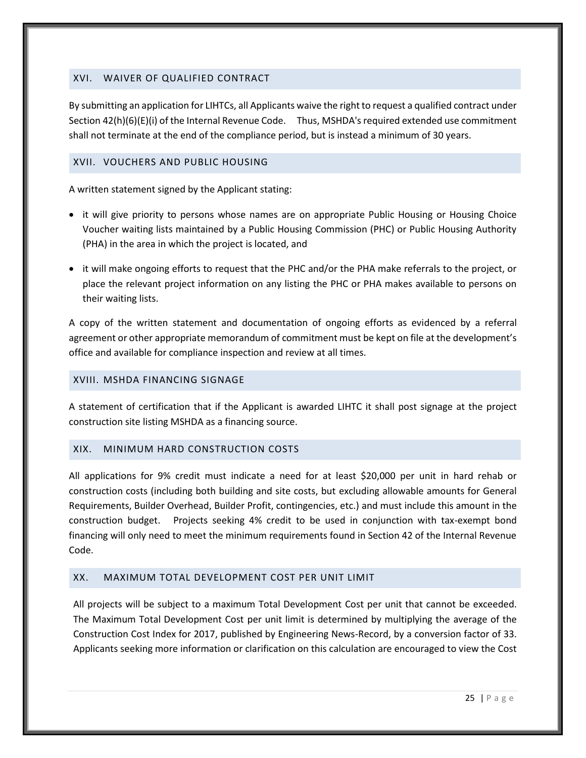## <span id="page-28-0"></span>XVI. WAIVER OF QUALIFIED CONTRACT

By submitting an application for LIHTCs, all Applicants waive the right to request a qualified contract under Section 42(h)(6)(E)(i) of the Internal Revenue Code. Thus, MSHDA's required extended use commitment shall not terminate at the end of the compliance period, but is instead a minimum of 30 years.

#### <span id="page-28-1"></span>XVII. VOUCHERS AND PUBLIC HOUSING

A written statement signed by the Applicant stating:

- it will give priority to persons whose names are on appropriate Public Housing or Housing Choice Voucher waiting lists maintained by a Public Housing Commission (PHC) or Public Housing Authority (PHA) in the area in which the project is located, and
- it will make ongoing efforts to request that the PHC and/or the PHA make referrals to the project, or place the relevant project information on any listing the PHC or PHA makes available to persons on their waiting lists.

A copy of the written statement and documentation of ongoing efforts as evidenced by a referral agreement or other appropriate memorandum of commitment must be kept on file at the development's office and available for compliance inspection and review at all times.

#### <span id="page-28-2"></span>XVIII. MSHDA FINANCING SIGNAGE

A statement of certification that if the Applicant is awarded LIHTC it shall post signage at the project construction site listing MSHDA as a financing source.

#### <span id="page-28-3"></span>XIX. MINIMUM HARD CONSTRUCTION COSTS

All applications for 9% credit must indicate a need for at least \$20,000 per unit in hard rehab or construction costs (including both building and site costs, but excluding allowable amounts for General Requirements, Builder Overhead, Builder Profit, contingencies, etc.) and must include this amount in the construction budget. Projects seeking 4% credit to be used in conjunction with tax-exempt bond financing will only need to meet the minimum requirements found in Section 42 of the Internal Revenue Code.

#### <span id="page-28-4"></span>XX. MAXIMUM TOTAL DEVELOPMENT COST PER UNIT LIMIT

All projects will be subject to a maximum Total Development Cost per unit that cannot be exceeded. The Maximum Total Development Cost per unit limit is determined by multiplying the average of the Construction Cost Index for 2017, published by Engineering News-Record, by a conversion factor of 33. Applicants seeking more information or clarification on this calculation are encouraged to view the Cost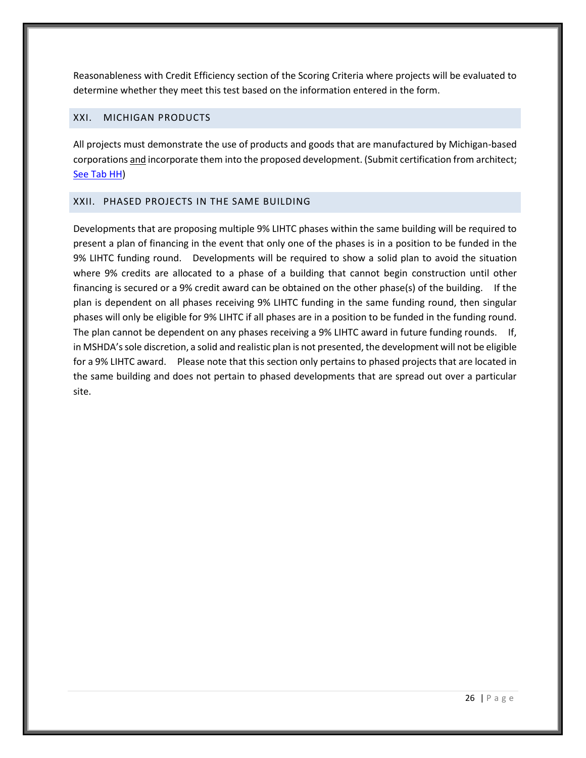Reasonableness with Credit Efficiency section of the Scoring Criteria where projects will be evaluated to determine whether they meet this test based on the information entered in the form.

## <span id="page-29-0"></span>XXI. MICHIGAN PRODUCTS

All projects must demonstrate the use of products and goods that are manufactured by Michigan-based corporations and incorporate them into the proposed development. (Submit certification from architect; [See Tab HH\)](http://www.michigan.gov/mshda/0,4641,7-141-5587_5601-60010--,00.html)

#### <span id="page-29-1"></span>XXII. PHASED PROJECTS IN THE SAME BUILDING

<span id="page-29-2"></span>Developments that are proposing multiple 9% LIHTC phases within the same building will be required to present a plan of financing in the event that only one of the phases is in a position to be funded in the 9% LIHTC funding round. Developments will be required to show a solid plan to avoid the situation where 9% credits are allocated to a phase of a building that cannot begin construction until other financing is secured or a 9% credit award can be obtained on the other phase(s) of the building. If the plan is dependent on all phases receiving 9% LIHTC funding in the same funding round, then singular phases will only be eligible for 9% LIHTC if all phases are in a position to be funded in the funding round. The plan cannot be dependent on any phases receiving a 9% LIHTC award in future funding rounds. If, in MSHDA's sole discretion, a solid and realistic plan is not presented, the development will not be eligible for a 9% LIHTC award. Please note that this section only pertains to phased projects that are located in the same building and does not pertain to phased developments that are spread out over a particular site.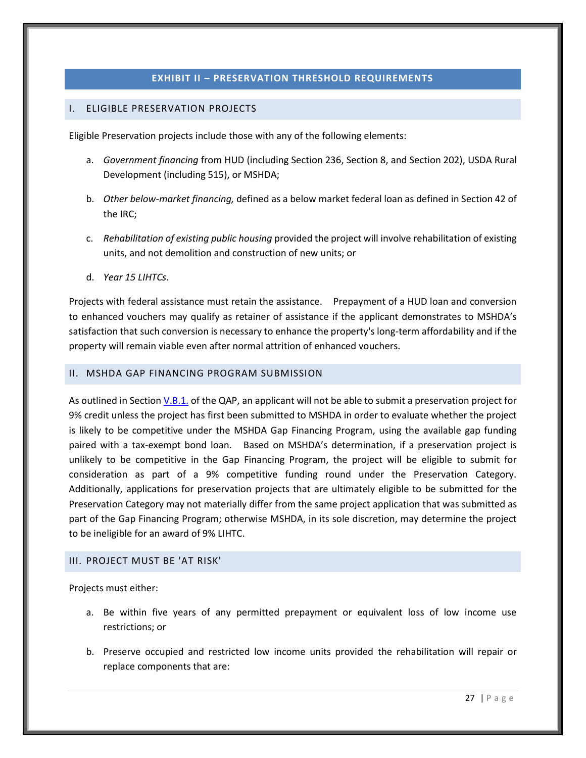#### **EXHIBIT II – PRESERVATION THRESHOLD REQUIREMENTS**

#### <span id="page-30-1"></span><span id="page-30-0"></span>I. ELIGIBLE PRESERVATION PROJECTS

Eligible Preservation projects include those with any of the following elements:

- a. *Government financing* from HUD (including Section 236, Section 8, and Section 202), USDA Rural Development (including 515), or MSHDA;
- b. *Other below-market financing,* defined as a below market federal loan as defined in Section 42 of the IRC;
- c. *Rehabilitation of existing public housing* provided the project will involve rehabilitation of existing units, and not demolition and construction of new units; or
- d. *Year 15 LIHTCs*.

Projects with federal assistance must retain the assistance. Prepayment of a HUD loan and conversion to enhanced vouchers may qualify as retainer of assistance if the applicant demonstrates to MSHDA's satisfaction that such conversion is necessary to enhance the property's long-term affordability and if the property will remain viable even after normal attrition of enhanced vouchers.

#### <span id="page-30-2"></span>II. MSHDA GAP FINANCING PROGRAM SUBMISSION

As outlined in Section [V.B.1.](#page-7-1) of the QAP, an applicant will not be able to submit a preservation project for 9% credit unless the project has first been submitted to MSHDA in order to evaluate whether the project is likely to be competitive under the MSHDA Gap Financing Program, using the available gap funding paired with a tax-exempt bond loan. Based on MSHDA's determination, if a preservation project is unlikely to be competitive in the Gap Financing Program, the project will be eligible to submit for consideration as part of a 9% competitive funding round under the Preservation Category. Additionally, applications for preservation projects that are ultimately eligible to be submitted for the Preservation Category may not materially differ from the same project application that was submitted as part of the Gap Financing Program; otherwise MSHDA, in its sole discretion, may determine the project to be ineligible for an award of 9% LIHTC.

#### <span id="page-30-3"></span>III. PROJECT MUST BE 'AT RISK'

Projects must either:

- a. Be within five years of any permitted prepayment or equivalent loss of low income use restrictions; or
- b. Preserve occupied and restricted low income units provided the rehabilitation will repair or replace components that are: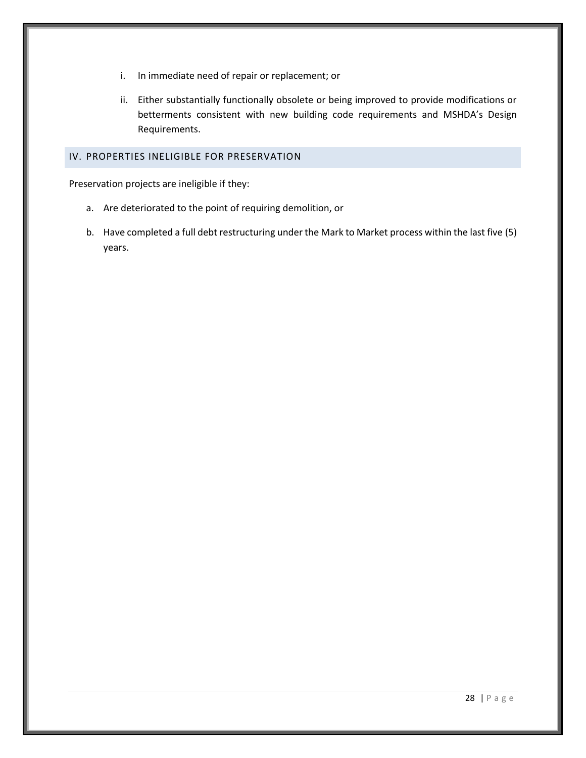- i. In immediate need of repair or replacement; or
- ii. Either substantially functionally obsolete or being improved to provide modifications or betterments consistent with new building code requirements and MSHDA's Design Requirements.

## <span id="page-31-0"></span>IV. PROPERTIES INELIGIBLE FOR PRESERVATION

Preservation projects are ineligible if they:

- a. Are deteriorated to the point of requiring demolition, or
- b. Have completed a full debt restructuring under the Mark to Market process within the last five (5) years.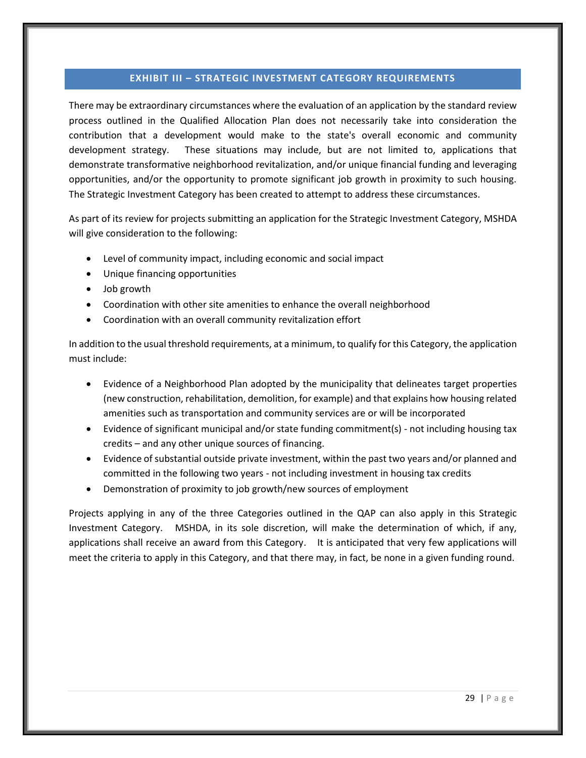#### **EXHIBIT III – STRATEGIC INVESTMENT CATEGORY REQUIREMENTS**

<span id="page-32-0"></span>There may be extraordinary circumstances where the evaluation of an application by the standard review process outlined in the Qualified Allocation Plan does not necessarily take into consideration the contribution that a development would make to the state's overall economic and community development strategy. These situations may include, but are not limited to, applications that demonstrate transformative neighborhood revitalization, and/or unique financial funding and leveraging opportunities, and/or the opportunity to promote significant job growth in proximity to such housing. The Strategic Investment Category has been created to attempt to address these circumstances.

As part of its review for projects submitting an application for the Strategic Investment Category, MSHDA will give consideration to the following:

- Level of community impact, including economic and social impact
- Unique financing opportunities
- Job growth
- Coordination with other site amenities to enhance the overall neighborhood
- Coordination with an overall community revitalization effort

In addition to the usual threshold requirements, at a minimum, to qualify for this Category, the application must include:

- Evidence of a Neighborhood Plan adopted by the municipality that delineates target properties (new construction, rehabilitation, demolition, for example) and that explains how housing related amenities such as transportation and community services are or will be incorporated
- Evidence of significant municipal and/or state funding commitment(s) not including housing tax credits – and any other unique sources of financing.
- Evidence of substantial outside private investment, within the past two years and/or planned and committed in the following two years - not including investment in housing tax credits
- Demonstration of proximity to job growth/new sources of employment

Projects applying in any of the three Categories outlined in the QAP can also apply in this Strategic Investment Category. MSHDA, in its sole discretion, will make the determination of which, if any, applications shall receive an award from this Category. It is anticipated that very few applications will meet the criteria to apply in this Category, and that there may, in fact, be none in a given funding round.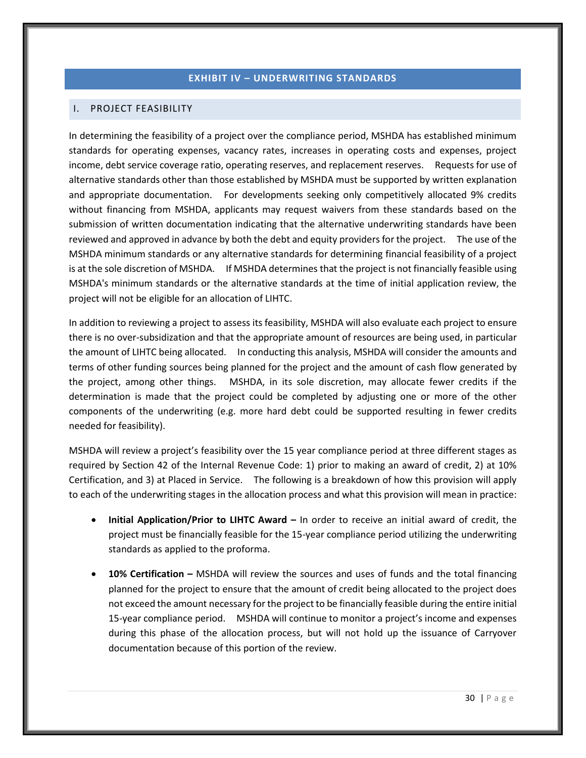#### **EXHIBIT IV – UNDERWRITING STANDARDS**

#### <span id="page-33-1"></span><span id="page-33-0"></span>I. PROJECT FEASIBILITY

In determining the feasibility of a project over the compliance period, MSHDA has established minimum standards for operating expenses, vacancy rates, increases in operating costs and expenses, project income, debt service coverage ratio, operating reserves, and replacement reserves. Requests for use of alternative standards other than those established by MSHDA must be supported by written explanation and appropriate documentation. For developments seeking only competitively allocated 9% credits without financing from MSHDA, applicants may request waivers from these standards based on the submission of written documentation indicating that the alternative underwriting standards have been reviewed and approved in advance by both the debt and equity providers for the project. The use of the MSHDA minimum standards or any alternative standards for determining financial feasibility of a project is at the sole discretion of MSHDA. If MSHDA determines that the project is not financially feasible using MSHDA's minimum standards or the alternative standards at the time of initial application review, the project will not be eligible for an allocation of LIHTC.

In addition to reviewing a project to assess its feasibility, MSHDA will also evaluate each project to ensure there is no over-subsidization and that the appropriate amount of resources are being used, in particular the amount of LIHTC being allocated. In conducting this analysis, MSHDA will consider the amounts and terms of other funding sources being planned for the project and the amount of cash flow generated by the project, among other things. MSHDA, in its sole discretion, may allocate fewer credits if the determination is made that the project could be completed by adjusting one or more of the other components of the underwriting (e.g. more hard debt could be supported resulting in fewer credits needed for feasibility).

MSHDA will review a project's feasibility over the 15 year compliance period at three different stages as required by Section 42 of the Internal Revenue Code: 1) prior to making an award of credit, 2) at 10% Certification, and 3) at Placed in Service. The following is a breakdown of how this provision will apply to each of the underwriting stages in the allocation process and what this provision will mean in practice:

- **Initial Application/Prior to LIHTC Award –** In order to receive an initial award of credit, the project must be financially feasible for the 15-year compliance period utilizing the underwriting standards as applied to the proforma.
- **10% Certification –** MSHDA will review the sources and uses of funds and the total financing planned for the project to ensure that the amount of credit being allocated to the project does not exceed the amount necessary for the project to be financially feasible during the entire initial 15-year compliance period. MSHDA will continue to monitor a project's income and expenses during this phase of the allocation process, but will not hold up the issuance of Carryover documentation because of this portion of the review.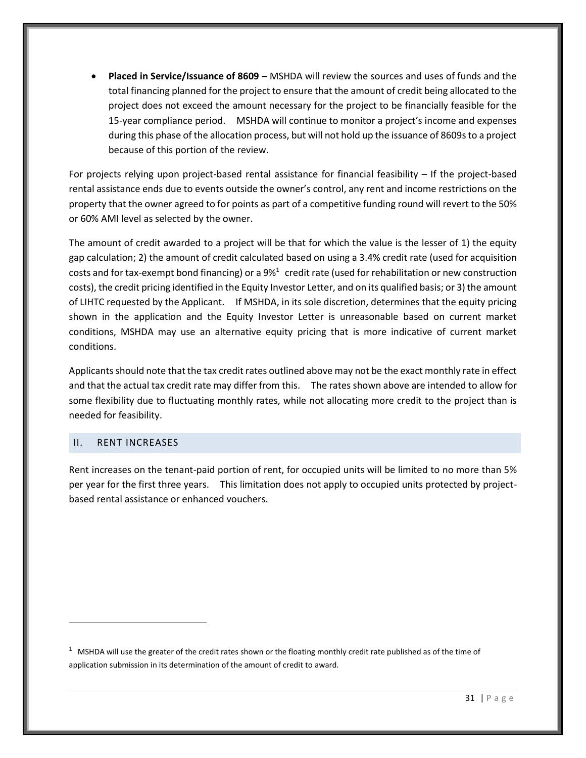• **Placed in Service/Issuance of 8609 –** MSHDA will review the sources and uses of funds and the total financing planned for the project to ensure that the amount of credit being allocated to the project does not exceed the amount necessary for the project to be financially feasible for the 15-year compliance period. MSHDA will continue to monitor a project's income and expenses during this phase of the allocation process, but will not hold up the issuance of 8609s to a project because of this portion of the review.

For projects relying upon project-based rental assistance for financial feasibility – If the project-based rental assistance ends due to events outside the owner's control, any rent and income restrictions on the property that the owner agreed to for points as part of a competitive funding round will revert to the 50% or 60% AMI level as selected by the owner.

The amount of credit awarded to a project will be that for which the value is the lesser of 1) the equity gap calculation; 2) the amount of credit calculated based on using a 3.4% credit rate (used for acquisition costs and for tax-exempt bond financing) or a  $9\%$ <sup>1</sup> credit rate (used for rehabilitation or new construction costs), the credit pricing identified in the Equity Investor Letter, and on its qualified basis; or 3) the amount of LIHTC requested by the Applicant. If MSHDA, in its sole discretion, determines that the equity pricing shown in the application and the Equity Investor Letter is unreasonable based on current market conditions, MSHDA may use an alternative equity pricing that is more indicative of current market conditions.

Applicants should note that the tax credit rates outlined above may not be the exact monthly rate in effect and that the actual tax credit rate may differ from this. The rates shown above are intended to allow for some flexibility due to fluctuating monthly rates, while not allocating more credit to the project than is needed for feasibility.

#### <span id="page-34-0"></span>II. RENT INCREASES

Rent increases on the tenant-paid portion of rent, for occupied units will be limited to no more than 5% per year for the first three years. This limitation does not apply to occupied units protected by projectbased rental assistance or enhanced vouchers.

 $1$  MSHDA will use the greater of the credit rates shown or the floating monthly credit rate published as of the time of application submission in its determination of the amount of credit to award.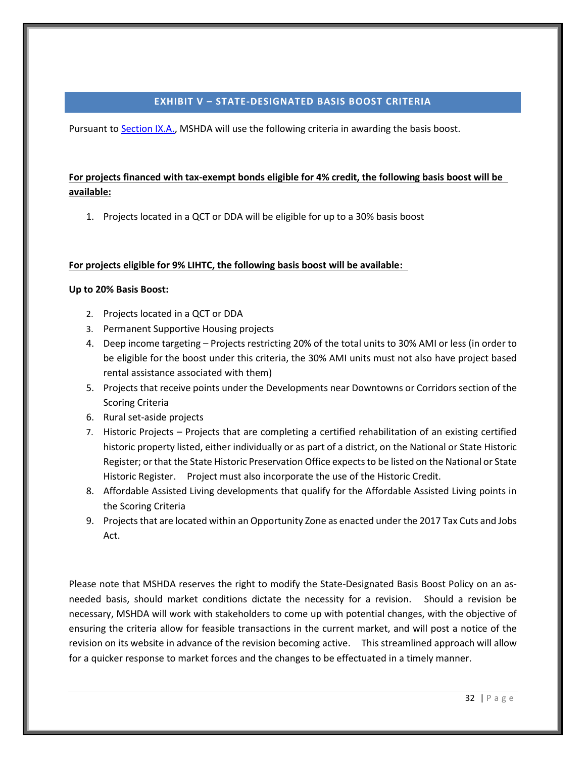#### **EXHIBIT V – STATE-DESIGNATED BASIS BOOST CRITERIA**

<span id="page-35-0"></span>Pursuant t[o Section IX.A.,](#page-14-3) MSHDA will use the following criteria in awarding the basis boost.

# **For projects financed with tax-exempt bonds eligible for 4% credit, the following basis boost will be available:**

1. Projects located in a QCT or DDA will be eligible for up to a 30% basis boost

## **For projects eligible for 9% LIHTC, the following basis boost will be available:**

## **Up to 20% Basis Boost:**

- 2. Projects located in a QCT or DDA
- 3. Permanent Supportive Housing projects
- 4. Deep income targeting Projects restricting 20% of the total units to 30% AMI or less (in order to be eligible for the boost under this criteria, the 30% AMI units must not also have project based rental assistance associated with them)
- 5. Projects that receive points under the Developments near Downtowns or Corridors section of the Scoring Criteria
- 6. Rural set-aside projects
- 7. Historic Projects Projects that are completing a certified rehabilitation of an existing certified historic property listed, either individually or as part of a district, on the National or State Historic Register; or that the State Historic Preservation Office expects to be listed on the National or State Historic Register. Project must also incorporate the use of the Historic Credit.
- 8. Affordable Assisted Living developments that qualify for the Affordable Assisted Living points in the Scoring Criteria
- 9. Projects that are located within an Opportunity Zone as enacted under the 2017 Tax Cuts and Jobs Act.

Please note that MSHDA reserves the right to modify the State-Designated Basis Boost Policy on an asneeded basis, should market conditions dictate the necessity for a revision. Should a revision be necessary, MSHDA will work with stakeholders to come up with potential changes, with the objective of ensuring the criteria allow for feasible transactions in the current market, and will post a notice of the revision on its website in advance of the revision becoming active. This streamlined approach will allow for a quicker response to market forces and the changes to be effectuated in a timely manner.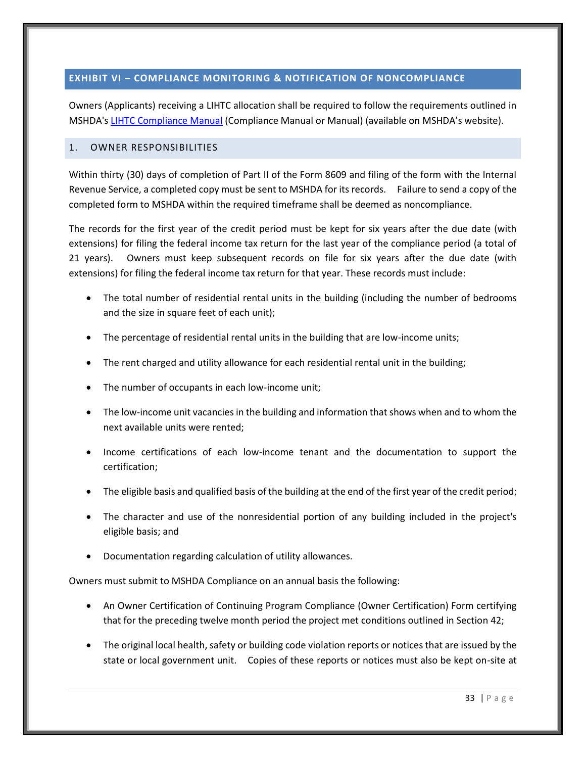#### <span id="page-36-0"></span>**EXHIBIT VI – COMPLIANCE MONITORING & NOTIFICATION OF NONCOMPLIANCE**

Owners (Applicants) receiving a LIHTC allocation shall be required to follow the requirements outlined in MSHDA's LIHTC [Compliance Manual](http://www.michigan.gov/mshda/0,4641,7-141-8002_26576_26578---,00.html) (Compliance Manual or Manual) (available on MSHDA's website).

#### <span id="page-36-1"></span>1. OWNER RESPONSIBILITIES

Within thirty (30) days of completion of Part II of the Form 8609 and filing of the form with the Internal Revenue Service, a completed copy must be sent to MSHDA for its records. Failure to send a copy of the completed form to MSHDA within the required timeframe shall be deemed as noncompliance.

The records for the first year of the credit period must be kept for six years after the due date (with extensions) for filing the federal income tax return for the last year of the compliance period (a total of 21 years). Owners must keep subsequent records on file for six years after the due date (with extensions) for filing the federal income tax return for that year. These records must include:

- The total number of residential rental units in the building (including the number of bedrooms and the size in square feet of each unit);
- The percentage of residential rental units in the building that are low-income units;
- The rent charged and utility allowance for each residential rental unit in the building;
- The number of occupants in each low-income unit;
- The low-income unit vacancies in the building and information that shows when and to whom the next available units were rented;
- Income certifications of each low-income tenant and the documentation to support the certification;
- The eligible basis and qualified basis of the building at the end of the first year of the credit period;
- The character and use of the nonresidential portion of any building included in the project's eligible basis; and
- Documentation regarding calculation of utility allowances.

Owners must submit to MSHDA Compliance on an annual basis the following:

- An Owner Certification of Continuing Program Compliance (Owner Certification) Form certifying that for the preceding twelve month period the project met conditions outlined in Section 42;
- The original local health, safety or building code violation reports or notices that are issued by the state or local government unit. Copies of these reports or notices must also be kept on-site at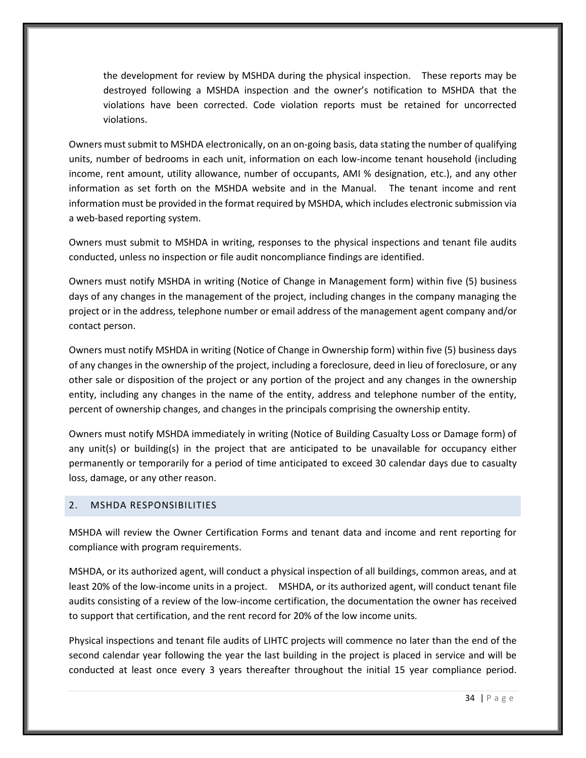the development for review by MSHDA during the physical inspection. These reports may be destroyed following a MSHDA inspection and the owner's notification to MSHDA that the violations have been corrected. Code violation reports must be retained for uncorrected violations.

Owners must submit to MSHDA electronically, on an on-going basis, data stating the number of qualifying units, number of bedrooms in each unit, information on each low-income tenant household (including income, rent amount, utility allowance, number of occupants, AMI % designation, etc.), and any other information as set forth on the MSHDA website and in the Manual. The tenant income and rent information must be provided in the format required by MSHDA, which includes electronic submission via a web-based reporting system.

Owners must submit to MSHDA in writing, responses to the physical inspections and tenant file audits conducted, unless no inspection or file audit noncompliance findings are identified.

Owners must notify MSHDA in writing (Notice of Change in Management form) within five (5) business days of any changes in the management of the project, including changes in the company managing the project or in the address, telephone number or email address of the management agent company and/or contact person.

Owners must notify MSHDA in writing (Notice of Change in Ownership form) within five (5) business days of any changes in the ownership of the project, including a foreclosure, deed in lieu of foreclosure, or any other sale or disposition of the project or any portion of the project and any changes in the ownership entity, including any changes in the name of the entity, address and telephone number of the entity, percent of ownership changes, and changes in the principals comprising the ownership entity.

Owners must notify MSHDA immediately in writing (Notice of Building Casualty Loss or Damage form) of any unit(s) or building(s) in the project that are anticipated to be unavailable for occupancy either permanently or temporarily for a period of time anticipated to exceed 30 calendar days due to casualty loss, damage, or any other reason.

#### <span id="page-37-0"></span>2. MSHDA RESPONSIBILITIES

MSHDA will review the Owner Certification Forms and tenant data and income and rent reporting for compliance with program requirements.

MSHDA, or its authorized agent, will conduct a physical inspection of all buildings, common areas, and at least 20% of the low-income units in a project. MSHDA, or its authorized agent, will conduct tenant file audits consisting of a review of the low-income certification, the documentation the owner has received to support that certification, and the rent record for 20% of the low income units.

Physical inspections and tenant file audits of LIHTC projects will commence no later than the end of the second calendar year following the year the last building in the project is placed in service and will be conducted at least once every 3 years thereafter throughout the initial 15 year compliance period.